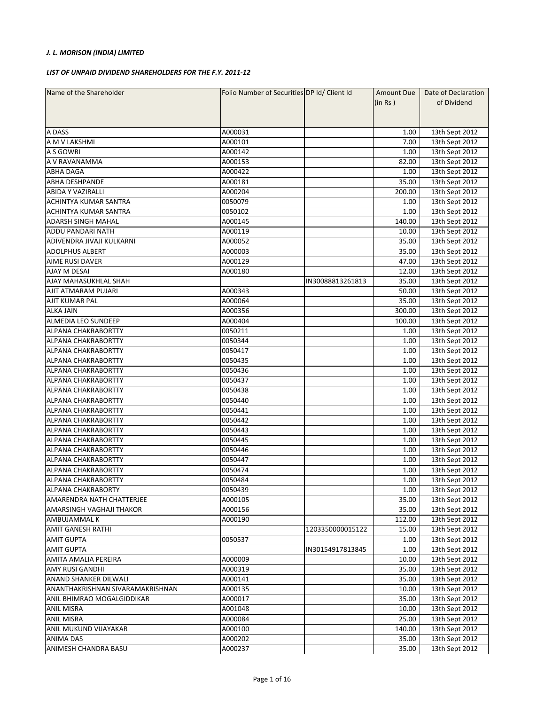## *J. L. MORISON (INDIA) LIMITED*

## *LIST OF UNPAID DIVIDEND SHAREHOLDERS FOR THE F.Y. 2011-12*

| Name of the Shareholder          | Folio Number of Securities DP Id/ Client Id | <b>Amount Due</b> | Date of Declaration |                                  |
|----------------------------------|---------------------------------------------|-------------------|---------------------|----------------------------------|
|                                  |                                             |                   | (in Rs)             | of Dividend                      |
|                                  |                                             |                   |                     |                                  |
|                                  |                                             |                   |                     |                                  |
| A DASS                           | A000031                                     |                   | 1.00                | 13th Sept 2012                   |
| A M V LAKSHMI                    | A000101                                     |                   | 7.00                | 13th Sept 2012                   |
| A S GOWRI                        | A000142                                     |                   | 1.00                | 13th Sept 2012                   |
| A V RAVANAMMA                    | A000153                                     |                   | 82.00               | 13th Sept 2012                   |
| <b>ABHA DAGA</b>                 | A000422                                     |                   | 1.00                | 13th Sept 2012                   |
| <b>ABHA DESHPANDE</b>            | A000181                                     |                   | 35.00               | 13th Sept 2012                   |
| <b>ABIDA Y VAZIRALLI</b>         | A000204                                     |                   | 200.00              | 13th Sept 2012                   |
| ACHINTYA KUMAR SANTRA            | 0050079                                     |                   | 1.00                | 13th Sept 2012                   |
| ACHINTYA KUMAR SANTRA            | 0050102                                     |                   | 1.00                | 13th Sept 2012                   |
| <b>ADARSH SINGH MAHAL</b>        | A000145                                     |                   | 140.00              | 13th Sept 2012                   |
| ADDU PANDARI NATH                | A000119                                     |                   | 10.00               | 13th Sept 2012                   |
| ADIVENDRA JIVAJI KULKARNI        | A000052                                     |                   | 35.00               | 13th Sept 2012                   |
| <b>ADOLPHUS ALBERT</b>           | A000003                                     |                   | 35.00               |                                  |
| <b>AIME RUSI DAVER</b>           | A000129                                     |                   | 47.00               | 13th Sept 2012<br>13th Sept 2012 |
| AJAY M DESAI                     |                                             |                   | 12.00               | 13th Sept 2012                   |
| AJAY MAHASUKHLAL SHAH            | A000180                                     |                   |                     |                                  |
|                                  |                                             | IN30088813261813  | 35.00               | 13th Sept 2012<br>13th Sept 2012 |
| AJIT ATMARAM PUJARI              | A000343                                     |                   | 50.00               |                                  |
| AJIT KUMAR PAL                   | A000064                                     |                   | 35.00               | 13th Sept 2012                   |
| <b>ALKA JAIN</b>                 | A000356                                     |                   | 300.00              | 13th Sept 2012                   |
| ALMEDIA LEO SUNDEEP              | A000404                                     |                   | 100.00              | 13th Sept 2012                   |
| <b>ALPANA CHAKRABORTTY</b>       | 0050211                                     |                   | 1.00                | 13th Sept 2012                   |
| <b>ALPANA CHAKRABORTTY</b>       | 0050344                                     |                   | 1.00                | 13th Sept 2012                   |
| <b>ALPANA CHAKRABORTTY</b>       | 0050417                                     |                   | 1.00                | 13th Sept 2012                   |
| <b>ALPANA CHAKRABORTTY</b>       | 0050435                                     |                   | 1.00                | 13th Sept 2012                   |
| <b>ALPANA CHAKRABORTTY</b>       | 0050436                                     |                   | 1.00                | 13th Sept 2012                   |
| ALPANA CHAKRABORTTY              | 0050437                                     |                   | 1.00                | 13th Sept 2012                   |
| ALPANA CHAKRABORTTY              | 0050438                                     |                   | 1.00                | 13th Sept 2012                   |
| ALPANA CHAKRABORTTY              | 0050440                                     |                   | 1.00                | 13th Sept 2012                   |
| <b>ALPANA CHAKRABORTTY</b>       | 0050441                                     |                   | 1.00                | 13th Sept 2012                   |
| <b>ALPANA CHAKRABORTTY</b>       | 0050442                                     |                   | 1.00                | 13th Sept 2012                   |
| <b>ALPANA CHAKRABORTTY</b>       | 0050443                                     |                   | 1.00                | 13th Sept 2012                   |
| ALPANA CHAKRABORTTY              | 0050445                                     |                   | 1.00                | 13th Sept 2012                   |
| ALPANA CHAKRABORTTY              | 0050446                                     |                   | 1.00                | 13th Sept 2012                   |
| ALPANA CHAKRABORTTY              | 0050447                                     |                   | 1.00                | 13th Sept 2012                   |
| <b>ALPANA CHAKRABORTTY</b>       | 0050474                                     |                   | 1.00                | 13th Sept 2012                   |
| <b>ALPANA CHAKRABORTTY</b>       | 0050484                                     |                   | 1.00                | 13th Sept 2012                   |
| <b>ALPANA CHAKRABORTY</b>        | 0050439                                     |                   | 1.00                | 13th Sept 2012                   |
| AMARENDRA NATH CHATTERJEE        | A000105                                     |                   | 35.00               | 13th Sept 2012                   |
| AMARSINGH VAGHAJI THAKOR         | A000156                                     |                   | 35.00               | 13th Sept 2012                   |
| AMBUJAMMAL K                     | A000190                                     |                   | 112.00              | 13th Sept 2012                   |
| <b>AMIT GANESH RATHI</b>         |                                             | 1203350000015122  | 15.00               | 13th Sept 2012                   |
| <b>AMIT GUPTA</b>                | 0050537                                     |                   | 1.00                | 13th Sept 2012                   |
| <b>AMIT GUPTA</b>                |                                             | IN30154917813845  | 1.00                | 13th Sept 2012                   |
| AMITA AMALIA PEREIRA             | A000009                                     |                   | 10.00               | 13th Sept 2012                   |
| AMY RUSI GANDHI                  | A000319                                     |                   | 35.00               | 13th Sept 2012                   |
| ANAND SHANKER DILWALI            | A000141                                     |                   | 35.00               | 13th Sept 2012                   |
| ANANTHAKRISHNAN SIVARAMAKRISHNAN | A000135                                     |                   | 10.00               | 13th Sept 2012                   |
| ANIL BHIMRAO MOGALGIDDIKAR       | A000017                                     |                   | 35.00               | 13th Sept 2012                   |
| ANIL MISRA                       | A001048                                     |                   | 10.00               | 13th Sept 2012                   |
| <b>ANIL MISRA</b>                | A000084                                     |                   | 25.00               | 13th Sept 2012                   |
| ANIL MUKUND VIJAYAKAR            | A000100                                     |                   | 140.00              | 13th Sept 2012                   |
| <b>ANIMA DAS</b>                 | A000202                                     |                   | 35.00               | 13th Sept 2012                   |
| ANIMESH CHANDRA BASU             | A000237                                     |                   | 35.00               | 13th Sept 2012                   |
|                                  |                                             |                   |                     |                                  |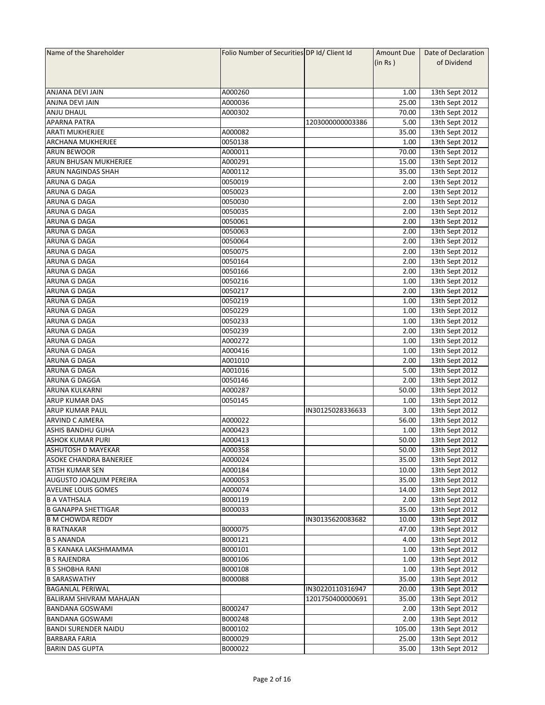| Name of the Shareholder        | Folio Number of Securities DP Id/ Client Id |                  | Amount Due | Date of Declaration |
|--------------------------------|---------------------------------------------|------------------|------------|---------------------|
|                                |                                             |                  | (in Rs)    | of Dividend         |
|                                |                                             |                  |            |                     |
|                                |                                             |                  |            |                     |
| ANJANA DEVI JAIN               | A000260                                     |                  | 1.00       | 13th Sept 2012      |
| ANJNA DEVI JAIN                | A000036                                     |                  | 25.00      | 13th Sept 2012      |
|                                | A000302                                     |                  |            |                     |
| <b>ANJU DHAUL</b>              |                                             |                  | 70.00      | 13th Sept 2012      |
| <b>APARNA PATRA</b>            |                                             | 1203000000003386 | 5.00       | 13th Sept 2012      |
| <b>ARATI MUKHERJEE</b>         | A000082                                     |                  | 35.00      | 13th Sept 2012      |
| <b>ARCHANA MUKHERJEE</b>       | 0050138                                     |                  | 1.00       | 13th Sept 2012      |
| <b>ARUN BEWOOR</b>             | A000011                                     |                  | 70.00      | 13th Sept 2012      |
| <b>ARUN BHUSAN MUKHERJEE</b>   | A000291                                     |                  | 15.00      | 13th Sept 2012      |
| ARUN NAGINDAS SHAH             | A000112                                     |                  | 35.00      | 13th Sept 2012      |
| ARUNA G DAGA                   | 0050019                                     |                  | 2.00       | 13th Sept 2012      |
| ARUNA G DAGA                   | 0050023                                     |                  | 2.00       | 13th Sept 2012      |
| ARUNA G DAGA                   | 0050030                                     |                  | 2.00       | 13th Sept 2012      |
| ARUNA G DAGA                   | 0050035                                     |                  | 2.00       | 13th Sept 2012      |
| <b>ARUNA G DAGA</b>            | 0050061                                     |                  | 2.00       | 13th Sept 2012      |
| <b>ARUNA G DAGA</b>            | 0050063                                     |                  | 2.00       | 13th Sept 2012      |
| ARUNA G DAGA                   | 0050064                                     |                  | 2.00       | 13th Sept 2012      |
| ARUNA G DAGA                   | 0050075                                     |                  | 2.00       |                     |
|                                |                                             |                  |            | 13th Sept 2012      |
| ARUNA G DAGA                   | 0050164                                     |                  | 2.00       | 13th Sept 2012      |
| ARUNA G DAGA                   | 0050166                                     |                  | 2.00       | 13th Sept 2012      |
| ARUNA G DAGA                   | 0050216                                     |                  | 1.00       | 13th Sept 2012      |
| <b>ARUNA G DAGA</b>            | 0050217                                     |                  | 2.00       | 13th Sept 2012      |
| ARUNA G DAGA                   | 0050219                                     |                  | 1.00       | 13th Sept 2012      |
| ARUNA G DAGA                   | 0050229                                     |                  | 1.00       | 13th Sept 2012      |
| ARUNA G DAGA                   | 0050233                                     |                  | 1.00       | 13th Sept 2012      |
| ARUNA G DAGA                   | 0050239                                     |                  | 2.00       | 13th Sept 2012      |
| ARUNA G DAGA                   | A000272                                     |                  | 1.00       | 13th Sept 2012      |
| ARUNA G DAGA                   | A000416                                     |                  | 1.00       | 13th Sept 2012      |
| ARUNA G DAGA                   | A001010                                     |                  | 2.00       | 13th Sept 2012      |
| ARUNA G DAGA                   | A001016                                     |                  | 5.00       | 13th Sept 2012      |
| ARUNA G DAGGA                  | 0050146                                     |                  | 2.00       | 13th Sept 2012      |
|                                |                                             |                  |            |                     |
| ARUNA KULKARNI                 | A000287                                     |                  | 50.00      | 13th Sept 2012      |
| ARUP KUMAR DAS                 | 0050145                                     |                  | 1.00       | 13th Sept 2012      |
| ARUP KUMAR PAUL                |                                             | IN30125028336633 | 3.00       | 13th Sept 2012      |
| <b>ARVIND C AJMERA</b>         | A000022                                     |                  | 56.00      | 13th Sept 2012      |
| <b>ASHIS BANDHU GUHA</b>       | A000423                                     |                  | 1.00       | 13th Sept 2012      |
| <b>ASHOK KUMAR PURI</b>        | A000413                                     |                  | 50.00      | 13th Sept 2012      |
| <b>ASHUTOSH D MAYEKAR</b>      | A000358                                     |                  | 50.00      | 13th Sept 2012      |
| ASOKE CHANDRA BANERJEE         | A000024                                     |                  | 35.00      | 13th Sept 2012      |
| <b>ATISH KUMAR SEN</b>         | A000184                                     |                  | 10.00      | 13th Sept 2012      |
| <b>AUGUSTO JOAQUIM PEREIRA</b> | A000053                                     |                  | 35.00      | 13th Sept 2012      |
| <b>AVELINE LOUIS GOMES</b>     | A000074                                     |                  | 14.00      | 13th Sept 2012      |
| <b>B A VATHSALA</b>            | B000119                                     |                  | 2.00       | 13th Sept 2012      |
| <b>B GANAPPA SHETTIGAR</b>     | B000033                                     |                  | 35.00      | 13th Sept 2012      |
| <b>B M CHOWDA REDDY</b>        |                                             | IN30135620083682 | 10.00      | 13th Sept 2012      |
|                                |                                             |                  |            | 13th Sept 2012      |
| <b>B RATNAKAR</b>              | B000075                                     |                  | 47.00      |                     |
| <b>B S ANANDA</b>              | B000121                                     |                  | 4.00       | 13th Sept 2012      |
| <b>B S KANAKA LAKSHMAMMA</b>   | B000101                                     |                  | 1.00       | 13th Sept 2012      |
| <b>B S RAJENDRA</b>            | B000106                                     |                  | 1.00       | 13th Sept 2012      |
| <b>B S SHOBHA RANI</b>         | B000108                                     |                  | 1.00       | 13th Sept 2012      |
| <b>B SARASWATHY</b>            | B000088                                     |                  | 35.00      | 13th Sept 2012      |
| <b>BAGANLAL PERIWAL</b>        |                                             | IN30220110316947 | 20.00      | 13th Sept 2012      |
| BALIRAM SHIVRAM MAHAJAN        |                                             | 1201750400000691 | 35.00      | 13th Sept 2012      |
| <b>BANDANA GOSWAMI</b>         | B000247                                     |                  | 2.00       | 13th Sept 2012      |
| <b>BANDANA GOSWAMI</b>         | B000248                                     |                  | 2.00       | 13th Sept 2012      |
| <b>BANDI SURENDER NAIDU</b>    | B000102                                     |                  | 105.00     | 13th Sept 2012      |
| <b>BARBARA FARIA</b>           | B000029                                     |                  | 25.00      | 13th Sept 2012      |
|                                |                                             |                  |            |                     |
| <b>BARIN DAS GUPTA</b>         | B000022                                     |                  | 35.00      | 13th Sept 2012      |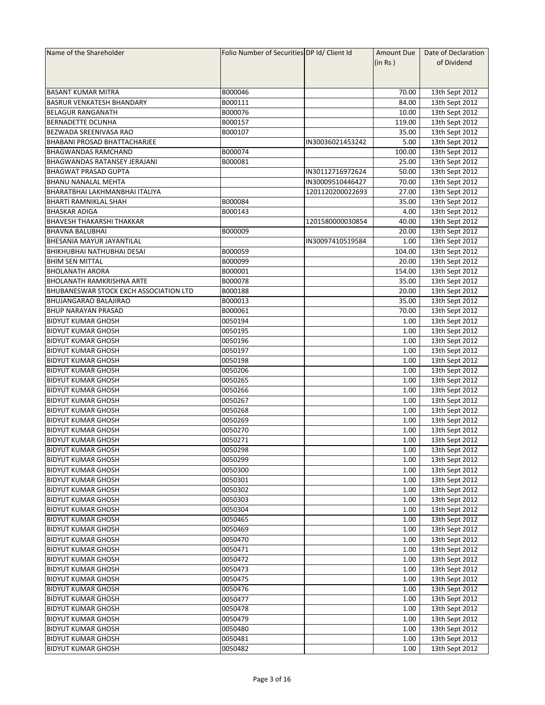| Name of the Shareholder                       | Folio Number of Securities DP Id/ Client Id |                  | <b>Amount Due</b> | Date of Declaration |
|-----------------------------------------------|---------------------------------------------|------------------|-------------------|---------------------|
|                                               |                                             |                  | (in Rs )          | of Dividend         |
|                                               |                                             |                  |                   |                     |
|                                               |                                             |                  |                   |                     |
| <b>BASANT KUMAR MITRA</b>                     | B000046                                     |                  | 70.00             | 13th Sept 2012      |
| <b>BASRUR VENKATESH BHANDARY</b>              | B000111                                     |                  | 84.00             | 13th Sept 2012      |
| <b>BELAGUR RANGANATH</b>                      | B000076                                     |                  | 10.00             | 13th Sept 2012      |
| <b>BERNADETTE DCUNHA</b>                      | B000157                                     |                  | 119.00            | 13th Sept 2012      |
| BEZWADA SREENIVASA RAO                        | B000107                                     |                  | 35.00             | 13th Sept 2012      |
| <b>BHABANI PROSAD BHATTACHARJEE</b>           |                                             | IN30036021453242 | 5.00              | 13th Sept 2012      |
| <b>BHAGWANDAS RAMCHAND</b>                    | B000074                                     |                  | 100.00            | 13th Sept 2012      |
| <b>BHAGWANDAS RATANSEY JERAJANI</b>           | B000081                                     |                  | 25.00             | 13th Sept 2012      |
| <b>BHAGWAT PRASAD GUPTA</b>                   |                                             | IN30112716972624 | 50.00             | 13th Sept 2012      |
| <b>BHANU NANALAL MEHTA</b>                    |                                             | IN30009510446427 | 70.00             | 13th Sept 2012      |
| BHARATBHAI LAKHMANBHAI ITALIYA                |                                             | 1201120200022693 | 27.00             | 13th Sept 2012      |
| <b>BHARTI RAMNIKLAL SHAH</b>                  | B000084                                     |                  | 35.00             | 13th Sept 2012      |
| <b>BHASKAR ADIGA</b>                          | B000143                                     |                  | 4.00              | 13th Sept 2012      |
| <b>BHAVESH THAKARSHI THAKKAR</b>              |                                             | 1201580000030854 | 40.00             | 13th Sept 2012      |
| <b>BHAVNA BALUBHAI</b>                        | B000009                                     |                  | 20.00             | 13th Sept 2012      |
| <b>BHESANIA MAYUR JAYANTILAL</b>              |                                             | IN30097410519584 | 1.00              | 13th Sept 2012      |
| <b>BHIKHUBHAI NATHUBHAI DESAI</b>             | B000059                                     |                  | 104.00            |                     |
|                                               |                                             |                  |                   | 13th Sept 2012      |
| <b>BHIM SEN MITTAL</b>                        | B000099                                     |                  | 20.00             | 13th Sept 2012      |
| <b>BHOLANATH ARORA</b>                        | B000001                                     |                  | 154.00            | 13th Sept 2012      |
| <b>BHOLANATH RAMKRISHNA ARTE</b>              | B000078                                     |                  | 35.00             | 13th Sept 2012      |
| <b>BHUBANESWAR STOCK EXCH ASSOCIATION LTD</b> | B000188                                     |                  | 20.00             | 13th Sept 2012      |
| <b>BHUJANGARAO BALAJIRAO</b>                  | B000013                                     |                  | 35.00             | 13th Sept 2012      |
| <b>BHUP NARAYAN PRASAD</b>                    | B000061                                     |                  | 70.00             | 13th Sept 2012      |
| <b>BIDYUT KUMAR GHOSH</b>                     | 0050194                                     |                  | 1.00              | 13th Sept 2012      |
| <b>BIDYUT KUMAR GHOSH</b>                     | 0050195                                     |                  | 1.00              | 13th Sept 2012      |
| <b>BIDYUT KUMAR GHOSH</b>                     | 0050196                                     |                  | 1.00              | 13th Sept 2012      |
| <b>BIDYUT KUMAR GHOSH</b>                     | 0050197                                     |                  | 1.00              | 13th Sept 2012      |
| <b>BIDYUT KUMAR GHOSH</b>                     | 0050198                                     |                  | 1.00              | 13th Sept 2012      |
| <b>BIDYUT KUMAR GHOSH</b>                     | 0050206                                     |                  | 1.00              | 13th Sept 2012      |
| <b>BIDYUT KUMAR GHOSH</b>                     | 0050265                                     |                  | 1.00              | 13th Sept 2012      |
| <b>BIDYUT KUMAR GHOSH</b>                     | 0050266                                     |                  | 1.00              | 13th Sept 2012      |
| <b>BIDYUT KUMAR GHOSH</b>                     | 0050267                                     |                  | 1.00              | 13th Sept 2012      |
| <b>BIDYUT KUMAR GHOSH</b>                     | 0050268                                     |                  | 1.00              | 13th Sept 2012      |
| <b>BIDYUT KUMAR GHOSH</b>                     | 0050269                                     |                  | 1.00              | 13th Sept 2012      |
| <b>BIDYUT KUMAR GHOSH</b>                     | 0050270                                     |                  | 1.00              | 13th Sept 2012      |
| <b>BIDYUT KUMAR GHOSH</b>                     | 0050271                                     |                  | 1.00              | 13th Sept 2012      |
| <b>BIDYUT KUMAR GHOSH</b>                     | 0050298                                     |                  | 1.00              | 13th Sept 2012      |
| <b>BIDYUT KUMAR GHOSH</b>                     | 0050299                                     |                  | 1.00              | 13th Sept 2012      |
| <b>BIDYUT KUMAR GHOSH</b>                     | 0050300                                     |                  | 1.00              | 13th Sept 2012      |
| <b>BIDYUT KUMAR GHOSH</b>                     | 0050301                                     |                  | 1.00              | 13th Sept 2012      |
| <b>BIDYUT KUMAR GHOSH</b>                     | 0050302                                     |                  | 1.00              | 13th Sept 2012      |
| <b>BIDYUT KUMAR GHOSH</b>                     | 0050303                                     |                  | 1.00              | 13th Sept 2012      |
| <b>BIDYUT KUMAR GHOSH</b>                     | 0050304                                     |                  | 1.00              | 13th Sept 2012      |
| <b>BIDYUT KUMAR GHOSH</b>                     | 0050465                                     |                  | 1.00              | 13th Sept 2012      |
| <b>BIDYUT KUMAR GHOSH</b>                     | 0050469                                     |                  | 1.00              | 13th Sept 2012      |
| <b>BIDYUT KUMAR GHOSH</b>                     | 0050470                                     |                  | 1.00              | 13th Sept 2012      |
| <b>BIDYUT KUMAR GHOSH</b>                     | 0050471                                     |                  | 1.00              | 13th Sept 2012      |
| <b>BIDYUT KUMAR GHOSH</b>                     | 0050472                                     |                  | 1.00              | 13th Sept 2012      |
| <b>BIDYUT KUMAR GHOSH</b>                     | 0050473                                     |                  | 1.00              | 13th Sept 2012      |
| <b>BIDYUT KUMAR GHOSH</b>                     | 0050475                                     |                  | 1.00              | 13th Sept 2012      |
| <b>BIDYUT KUMAR GHOSH</b>                     | 0050476                                     |                  | 1.00              | 13th Sept 2012      |
| <b>BIDYUT KUMAR GHOSH</b>                     | 0050477                                     |                  | 1.00              | 13th Sept 2012      |
| <b>BIDYUT KUMAR GHOSH</b>                     | 0050478                                     |                  | 1.00              | 13th Sept 2012      |
| <b>BIDYUT KUMAR GHOSH</b>                     | 0050479                                     |                  | 1.00              | 13th Sept 2012      |
| <b>BIDYUT KUMAR GHOSH</b>                     | 0050480                                     |                  | 1.00              |                     |
|                                               |                                             |                  |                   | 13th Sept 2012      |
| <b>BIDYUT KUMAR GHOSH</b>                     | 0050481                                     |                  | 1.00              | 13th Sept 2012      |
| <b>BIDYUT KUMAR GHOSH</b>                     | 0050482                                     |                  | 1.00              | 13th Sept 2012      |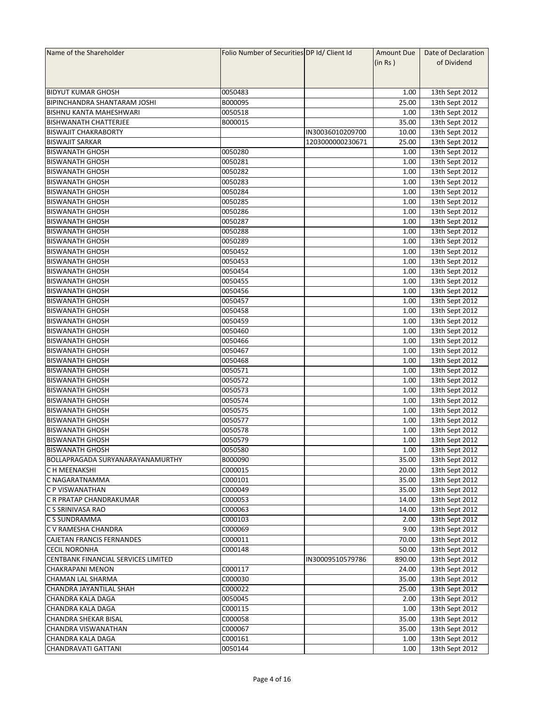| Name of the Shareholder                 | Folio Number of Securities DP Id/ Client Id |                  | Amount Due    | Date of Declaration |
|-----------------------------------------|---------------------------------------------|------------------|---------------|---------------------|
|                                         |                                             |                  | (in Rs)       | of Dividend         |
|                                         |                                             |                  |               |                     |
|                                         |                                             |                  |               |                     |
| <b>BIDYUT KUMAR GHOSH</b>               | 0050483                                     |                  | 1.00          | 13th Sept 2012      |
| <b>BIPINCHANDRA SHANTARAM JOSHI</b>     | B000095                                     |                  | 25.00         | 13th Sept 2012      |
| <b>BISHNU KANTA MAHESHWARI</b>          | 0050518                                     |                  | 1.00          | 13th Sept 2012      |
| <b>BISHWANATH CHATTERJEE</b>            | B000015                                     |                  | 35.00         | 13th Sept 2012      |
| <b>BISWAJIT CHAKRABORTY</b>             |                                             | IN30036010209700 | 10.00         | 13th Sept 2012      |
| <b>BISWAJIT SARKAR</b>                  |                                             | 1203000000230671 | 25.00         | 13th Sept 2012      |
| <b>BISWANATH GHOSH</b>                  | 0050280                                     |                  | 1.00          | 13th Sept 2012      |
| <b>BISWANATH GHOSH</b>                  | 0050281                                     |                  | 1.00          | 13th Sept 2012      |
| <b>BISWANATH GHOSH</b>                  | 0050282                                     |                  | 1.00          | 13th Sept 2012      |
| <b>BISWANATH GHOSH</b>                  | 0050283                                     |                  | 1.00          | 13th Sept 2012      |
| <b>BISWANATH GHOSH</b>                  | 0050284                                     |                  | 1.00          | 13th Sept 2012      |
| <b>BISWANATH GHOSH</b>                  | 0050285                                     |                  | 1.00          |                     |
| <b>BISWANATH GHOSH</b>                  | 0050286                                     |                  | 1.00          | 13th Sept 2012      |
| <b>BISWANATH GHOSH</b>                  |                                             |                  |               | 13th Sept 2012      |
|                                         | 0050287                                     |                  | 1.00          | 13th Sept 2012      |
| <b>BISWANATH GHOSH</b>                  | 0050288                                     |                  | 1.00          | 13th Sept 2012      |
| <b>BISWANATH GHOSH</b>                  | 0050289                                     |                  | 1.00          | 13th Sept 2012      |
| BISWANATH GHOSH                         | 0050452                                     |                  | 1.00          | 13th Sept 2012      |
| <b>BISWANATH GHOSH</b>                  | 0050453                                     |                  | 1.00          | 13th Sept 2012      |
| <b>BISWANATH GHOSH</b>                  | 0050454                                     |                  | 1.00          | 13th Sept 2012      |
| <b>BISWANATH GHOSH</b>                  | 0050455                                     |                  | 1.00          | 13th Sept 2012      |
| <b>BISWANATH GHOSH</b>                  | 0050456                                     |                  | 1.00          | 13th Sept 2012      |
| <b>BISWANATH GHOSH</b>                  | 0050457                                     |                  | 1.00          | 13th Sept 2012      |
| <b>BISWANATH GHOSH</b>                  | 0050458                                     |                  | 1.00          | 13th Sept 2012      |
| <b>BISWANATH GHOSH</b>                  | 0050459                                     |                  | 1.00          | 13th Sept 2012      |
| <b>BISWANATH GHOSH</b>                  | 0050460                                     |                  | 1.00          | 13th Sept 2012      |
| <b>BISWANATH GHOSH</b>                  | 0050466                                     |                  | 1.00          | 13th Sept 2012      |
| <b>BISWANATH GHOSH</b>                  | 0050467                                     |                  | 1.00          | 13th Sept 2012      |
| <b>BISWANATH GHOSH</b>                  | 0050468                                     |                  | 1.00          | 13th Sept 2012      |
| <b>BISWANATH GHOSH</b>                  | 0050571                                     |                  | 1.00          | 13th Sept 2012      |
| <b>BISWANATH GHOSH</b>                  | 0050572                                     |                  | 1.00          | 13th Sept 2012      |
| <b>BISWANATH GHOSH</b>                  | 0050573                                     |                  | 1.00          | 13th Sept 2012      |
| <b>BISWANATH GHOSH</b>                  | 0050574                                     |                  | 1.00          | 13th Sept 2012      |
| <b>BISWANATH GHOSH</b>                  | 0050575                                     |                  | 1.00          | 13th Sept 2012      |
| <b>BISWANATH GHOSH</b>                  | 0050577                                     |                  | 1.00          | 13th Sept 2012      |
| <b>BISWANATH GHOSH</b>                  | 0050578                                     |                  | 1.00          | 13th Sept 2012      |
| <b>BISWANATH GHOSH</b>                  | 0050579                                     |                  | 1.00          | 13th Sept 2012      |
| <b>BISWANATH GHOSH</b>                  | 0050580                                     |                  | 1.00          | 13th Sept 2012      |
| <b>BOLLAPRAGADA SURYANARAYANAMURTHY</b> | B000090                                     |                  | 35.00         | 13th Sept 2012      |
| C H MEENAKSHI                           | C000015                                     |                  | 20.00         | 13th Sept 2012      |
| C NAGARATNAMMA                          | C000101                                     |                  | 35.00         | 13th Sept 2012      |
| C P VISWANATHAN                         | C000049                                     |                  | 35.00         | 13th Sept 2012      |
| C R PRATAP CHANDRAKUMAR                 | C000053                                     |                  | 14.00         | 13th Sept 2012      |
| C S SRINIVASA RAO                       | C000063                                     |                  | 14.00         | 13th Sept 2012      |
| C S SUNDRAMMA                           | C000103                                     |                  | 2.00          | 13th Sept 2012      |
|                                         |                                             |                  |               |                     |
| C V RAMESHA CHANDRA                     | C000069<br>C000011                          |                  | 9.00<br>70.00 | 13th Sept 2012      |
| <b>CAJETAN FRANCIS FERNANDES</b>        |                                             |                  |               | 13th Sept 2012      |
| <b>CECIL NORONHA</b>                    | C000148                                     |                  | 50.00         | 13th Sept 2012      |
| CENTBANK FINANCIAL SERVICES LIMITED     |                                             | IN30009510579786 | 890.00        | 13th Sept 2012      |
| <b>CHAKRAPANI MENON</b>                 | C000117                                     |                  | 24.00         | 13th Sept 2012      |
| CHAMAN LAL SHARMA                       | C000030                                     |                  | 35.00         | 13th Sept 2012      |
| CHANDRA JAYANTILAL SHAH                 | C000022                                     |                  | 25.00         | 13th Sept 2012      |
| <b>CHANDRA KALA DAGA</b>                | 0050045                                     |                  | 2.00          | 13th Sept 2012      |
| CHANDRA KALA DAGA                       | C000115                                     |                  | 1.00          | 13th Sept 2012      |
| <b>CHANDRA SHEKAR BISAL</b>             | C000058                                     |                  | 35.00         | 13th Sept 2012      |
| CHANDRA VISWANATHAN                     | C000067                                     |                  | 35.00         | 13th Sept 2012      |
| CHANDRA KALA DAGA                       | C000161                                     |                  | 1.00          | 13th Sept 2012      |
| <b>CHANDRAVATI GATTANI</b>              | 0050144                                     |                  | 1.00          | 13th Sept 2012      |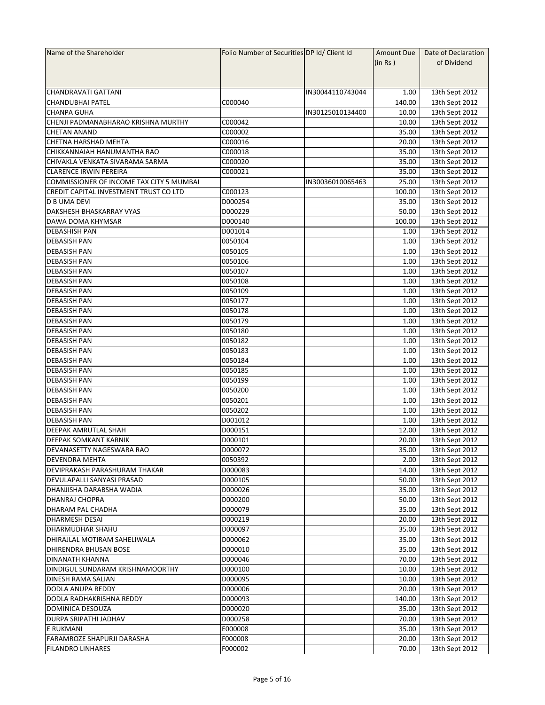| Name of the Shareholder                  | Folio Number of Securities DP Id/ Client Id |                  | Amount Due | Date of Declaration |
|------------------------------------------|---------------------------------------------|------------------|------------|---------------------|
|                                          |                                             |                  | (in Rs)    | of Dividend         |
|                                          |                                             |                  |            |                     |
|                                          |                                             |                  |            |                     |
| <b>CHANDRAVATI GATTANI</b>               |                                             | IN30044110743044 | 1.00       | 13th Sept 2012      |
| <b>CHANDUBHAI PATEL</b>                  | C000040                                     |                  | 140.00     | 13th Sept 2012      |
| <b>CHANPA GUHA</b>                       |                                             | IN30125010134400 | 10.00      | 13th Sept 2012      |
| CHENJI PADMANABHARAO KRISHNA MURTHY      | C000042                                     |                  | 10.00      | 13th Sept 2012      |
| <b>CHETAN ANAND</b>                      | C000002                                     |                  | 35.00      | 13th Sept 2012      |
| CHETNA HARSHAD MEHTA                     | C000016                                     |                  | 20.00      | 13th Sept 2012      |
| CHIKKANNAIAH HANUMANTHA RAO              | C000018                                     |                  | 35.00      | 13th Sept 2012      |
| CHIVAKLA VENKATA SIVARAMA SARMA          | C000020                                     |                  |            |                     |
|                                          | C000021                                     |                  | 35.00      | 13th Sept 2012      |
| <b>CLARENCE IRWIN PEREIRA</b>            |                                             |                  | 35.00      | 13th Sept 2012      |
| COMMISSIONER OF INCOME TAX CITY 5 MUMBAI |                                             | IN30036010065463 | 25.00      | 13th Sept 2012      |
| CREDIT CAPITAL INVESTMENT TRUST CO LTD   | C000123                                     |                  | 100.00     | 13th Sept 2012      |
| <b>D B UMA DEVI</b>                      | D000254                                     |                  | 35.00      | 13th Sept 2012      |
| DAKSHESH BHASKARRAY VYAS                 | D000229                                     |                  | 50.00      | 13th Sept 2012      |
| DAWA DOMA KHYMSAR                        | D000140                                     |                  | 100.00     | 13th Sept 2012      |
| <b>DEBASHISH PAN</b>                     | D001014                                     |                  | 1.00       | 13th Sept 2012      |
| <b>DEBASISH PAN</b>                      | 0050104                                     |                  | 1.00       | 13th Sept 2012      |
| <b>DEBASISH PAN</b>                      | 0050105                                     |                  | 1.00       | 13th Sept 2012      |
| <b>DEBASISH PAN</b>                      | 0050106                                     |                  | 1.00       | 13th Sept 2012      |
| <b>DEBASISH PAN</b>                      | 0050107                                     |                  | 1.00       | 13th Sept 2012      |
| <b>DEBASISH PAN</b>                      | 0050108                                     |                  | 1.00       | 13th Sept 2012      |
| <b>DEBASISH PAN</b>                      | 0050109                                     |                  | 1.00       | 13th Sept 2012      |
| <b>DEBASISH PAN</b>                      | 0050177                                     |                  | 1.00       | 13th Sept 2012      |
| <b>DEBASISH PAN</b>                      | 0050178                                     |                  | 1.00       | 13th Sept 2012      |
| <b>DEBASISH PAN</b>                      | 0050179                                     |                  | 1.00       | 13th Sept 2012      |
| <b>DEBASISH PAN</b>                      | 0050180                                     |                  | 1.00       | 13th Sept 2012      |
| <b>DEBASISH PAN</b>                      | 0050182                                     |                  | 1.00       | 13th Sept 2012      |
| <b>DEBASISH PAN</b>                      | 0050183                                     |                  | 1.00       | 13th Sept 2012      |
| <b>DEBASISH PAN</b>                      | 0050184                                     |                  | 1.00       | 13th Sept 2012      |
| <b>DEBASISH PAN</b>                      | 0050185                                     |                  | 1.00       | 13th Sept 2012      |
| <b>DEBASISH PAN</b>                      | 0050199                                     |                  | 1.00       | 13th Sept 2012      |
|                                          |                                             |                  |            |                     |
| <b>DEBASISH PAN</b>                      | 0050200                                     |                  | 1.00       | 13th Sept 2012      |
| <b>DEBASISH PAN</b>                      | 0050201                                     |                  | 1.00       | 13th Sept 2012      |
| <b>DEBASISH PAN</b>                      | 0050202                                     |                  | 1.00       | 13th Sept 2012      |
| <b>DEBASISH PAN</b>                      | D001012                                     |                  | 1.00       | 13th Sept 2012      |
| <b>DEEPAK AMRUTLAL SHAH</b>              | D000151                                     |                  | 12.00      | 13th Sept 2012      |
| <b>DEEPAK SOMKANT KARNIK</b>             | D000101                                     |                  | 20.00      | 13th Sept 2012      |
| DEVANASETTY NAGESWARA RAO                | D000072                                     |                  | 35.00      | 13th Sept 2012      |
| DEVENDRA MEHTA                           | 0050392                                     |                  | 2.00       | 13th Sept 2012      |
| DEVIPRAKASH PARASHURAM THAKAR            | D000083                                     |                  | 14.00      | 13th Sept 2012      |
| DEVULAPALLI SANYASI PRASAD               | D000105                                     |                  | 50.00      | 13th Sept 2012      |
| DHANJISHA DARABSHA WADIA                 | D000026                                     |                  | 35.00      | 13th Sept 2012      |
| DHANRAJ CHOPRA                           | D000200                                     |                  | 50.00      | 13th Sept 2012      |
| DHARAM PAL CHADHA                        | D000079                                     |                  | 35.00      | 13th Sept 2012      |
| <b>DHARMESH DESAI</b>                    | D000219                                     |                  | 20.00      | 13th Sept 2012      |
| <b>DHARMUDHAR SHAHU</b>                  | D000097                                     |                  | 35.00      | 13th Sept 2012      |
| DHIRAJLAL MOTIRAM SAHELIWALA             | D000062                                     |                  | 35.00      | 13th Sept 2012      |
| DHIRENDRA BHUSAN BOSE                    | D000010                                     |                  | 35.00      | 13th Sept 2012      |
| <b>DINANATH KHANNA</b>                   | D000046                                     |                  | 70.00      | 13th Sept 2012      |
| DINDIGUL SUNDARAM KRISHNAMOORTHY         | D000100                                     |                  | 10.00      | 13th Sept 2012      |
| <b>DINESH RAMA SALIAN</b>                | D000095                                     |                  | 10.00      | 13th Sept 2012      |
| DODLA ANUPA REDDY                        | D000006                                     |                  | 20.00      | 13th Sept 2012      |
|                                          |                                             |                  |            |                     |
| DODLA RADHAKRISHNA REDDY                 | D000093                                     |                  | 140.00     | 13th Sept 2012      |
| DOMINICA DESOUZA                         | D000020                                     |                  | 35.00      | 13th Sept 2012      |
| DURPA SRIPATHI JADHAV                    | D000258                                     |                  | 70.00      | 13th Sept 2012      |
| <b>E RUKMANI</b>                         | E000008                                     |                  | 35.00      | 13th Sept 2012      |
| FARAMROZE SHAPURJI DARASHA               | F000008                                     |                  | 20.00      | 13th Sept 2012      |
| <b>FILANDRO LINHARES</b>                 | F000002                                     |                  | 70.00      | 13th Sept 2012      |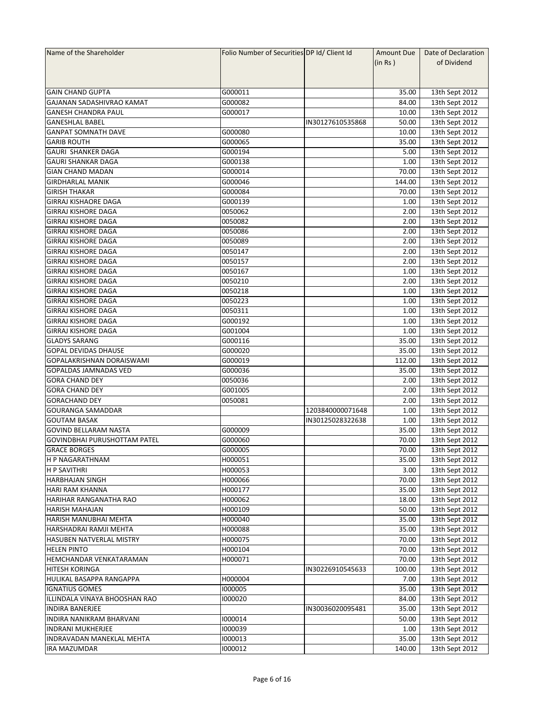| Name of the Shareholder             | Folio Number of Securities DP Id/ Client Id |                  | Amount Due | Date of Declaration |
|-------------------------------------|---------------------------------------------|------------------|------------|---------------------|
|                                     |                                             |                  | (in Rs)    | of Dividend         |
|                                     |                                             |                  |            |                     |
|                                     |                                             |                  |            |                     |
| <b>GAIN CHAND GUPTA</b>             | G000011                                     |                  | 35.00      | 13th Sept 2012      |
| GAJANAN SADASHIVRAO KAMAT           | G000082                                     |                  | 84.00      | 13th Sept 2012      |
| <b>GANESH CHANDRA PAUL</b>          | G000017                                     |                  | 10.00      | 13th Sept 2012      |
| <b>GANESHLAL BABEL</b>              |                                             | IN30127610535868 | 50.00      | 13th Sept 2012      |
| <b>GANPAT SOMNATH DAVE</b>          | G000080                                     |                  | 10.00      | 13th Sept 2012      |
| <b>GARIB ROUTH</b>                  | G000065                                     |                  | 35.00      | 13th Sept 2012      |
| <b>GAURI SHANKER DAGA</b>           | G000194                                     |                  | 5.00       | 13th Sept 2012      |
| <b>GAURI SHANKAR DAGA</b>           | G000138                                     |                  | 1.00       | 13th Sept 2012      |
| <b>GIAN CHAND MADAN</b>             | G000014                                     |                  | 70.00      |                     |
|                                     |                                             |                  |            | 13th Sept 2012      |
| <b>GIRDHARLAL MANIK</b>             | G000046                                     |                  | 144.00     | 13th Sept 2012      |
| <b>GIRISH THAKAR</b>                | G000084                                     |                  | 70.00      | 13th Sept 2012      |
| <b>GIRRAJ KISHAORE DAGA</b>         | G000139                                     |                  | 1.00       | 13th Sept 2012      |
| <b>GIRRAJ KISHORE DAGA</b>          | 0050062                                     |                  | 2.00       | 13th Sept 2012      |
| <b>GIRRAJ KISHORE DAGA</b>          | 0050082                                     |                  | 2.00       | 13th Sept 2012      |
| <b>GIRRAJ KISHORE DAGA</b>          | 0050086                                     |                  | 2.00       | 13th Sept 2012      |
| <b>GIRRAJ KISHORE DAGA</b>          | 0050089                                     |                  | 2.00       | 13th Sept 2012      |
| <b>GIRRAJ KISHORE DAGA</b>          | 0050147                                     |                  | 2.00       | 13th Sept 2012      |
| <b>GIRRAJ KISHORE DAGA</b>          | 0050157                                     |                  | 2.00       | 13th Sept 2012      |
| <b>GIRRAJ KISHORE DAGA</b>          | 0050167                                     |                  | 1.00       | 13th Sept 2012      |
| <b>GIRRAJ KISHORE DAGA</b>          | 0050210                                     |                  | 2.00       | 13th Sept 2012      |
| <b>GIRRAJ KISHORE DAGA</b>          | 0050218                                     |                  | 1.00       | 13th Sept 2012      |
| <b>GIRRAJ KISHORE DAGA</b>          | 0050223                                     |                  | 1.00       | 13th Sept 2012      |
| <b>GIRRAJ KISHORE DAGA</b>          | 0050311                                     |                  | 1.00       | 13th Sept 2012      |
| <b>GIRRAJ KISHORE DAGA</b>          | G000192                                     |                  | 1.00       | 13th Sept 2012      |
| <b>GIRRAJ KISHORE DAGA</b>          | G001004                                     |                  | 1.00       | 13th Sept 2012      |
| <b>GLADYS SARANG</b>                | G000116                                     |                  | 35.00      |                     |
|                                     |                                             |                  |            | 13th Sept 2012      |
| <b>GOPAL DEVIDAS DHAUSE</b>         | G000020                                     |                  | 35.00      | 13th Sept 2012      |
| GOPALAKRISHNAN DORAISWAMI           | G000019                                     |                  | 112.00     | 13th Sept 2012      |
| <b>GOPALDAS JAMNADAS VED</b>        | G000036                                     |                  | 35.00      | 13th Sept 2012      |
| <b>GORA CHAND DEY</b>               | 0050036                                     |                  | 2.00       | 13th Sept 2012      |
| <b>GORA CHAND DEY</b>               | G001005                                     |                  | 2.00       | 13th Sept 2012      |
| <b>GORACHAND DEY</b>                | 0050081                                     |                  | 2.00       | 13th Sept 2012      |
| <b>GOURANGA SAMADDAR</b>            |                                             | 1203840000071648 | 1.00       | 13th Sept 2012      |
| <b>GOUTAM BASAK</b>                 |                                             | IN30125028322638 | 1.00       | 13th Sept 2012      |
| <b>GOVIND BELLARAM NASTA</b>        | G000009                                     |                  | 35.00      | 13th Sept 2012      |
| <b>GOVINDBHAI PURUSHOTTAM PATEL</b> | G000060                                     |                  | 70.00      | 13th Sept 2012      |
| <b>GRACE BORGES</b>                 | G000005                                     |                  | 70.00      | 13th Sept 2012      |
| <b>H P NAGARATHNAM</b>              | H000051                                     |                  | 35.00      | 13th Sept 2012      |
| <b>H P SAVITHRI</b>                 | H000053                                     |                  | 3.00       | 13th Sept 2012      |
| <b>HARBHAJAN SINGH</b>              | H000066                                     |                  | 70.00      | 13th Sept 2012      |
| <b>HARI RAM KHANNA</b>              | H000177                                     |                  | 35.00      | 13th Sept 2012      |
| HARIHAR RANGANATHA RAO              | H000062                                     |                  | 18.00      | 13th Sept 2012      |
| <b>HARISH MAHAJAN</b>               | H000109                                     |                  | 50.00      | 13th Sept 2012      |
| <b>HARISH MANUBHAI MEHTA</b>        | H000040                                     |                  | 35.00      | 13th Sept 2012      |
| HARSHADRAI RAMJI MEHTA              | H000088                                     |                  | 35.00      | 13th Sept 2012      |
| <b>HASUBEN NATVERLAL MISTRY</b>     | H000075                                     |                  | 70.00      | 13th Sept 2012      |
| <b>HELEN PINTO</b>                  | H000104                                     |                  | 70.00      | 13th Sept 2012      |
| <b>HEMCHANDAR VENKATARAMAN</b>      | H000071                                     |                  | 70.00      | 13th Sept 2012      |
| <b>HITESH KORINGA</b>               |                                             |                  |            |                     |
|                                     |                                             | IN30226910545633 | 100.00     | 13th Sept 2012      |
| HULIKAL BASAPPA RANGAPPA            | H000004                                     |                  | 7.00       | 13th Sept 2012      |
| <b>IGNATIUS GOMES</b>               | 1000005                                     |                  | 35.00      | 13th Sept 2012      |
| ILLINDALA VINAYA BHOOSHAN RAO       | 1000020                                     |                  | 84.00      | 13th Sept 2012      |
| <b>INDIRA BANERJEE</b>              |                                             | IN30036020095481 | 35.00      | 13th Sept 2012      |
| INDIRA NANIKRAM BHARVANI            | 1000014                                     |                  | 50.00      | 13th Sept 2012      |
| <b>INDRANI MUKHERJEE</b>            | 1000039                                     |                  | 1.00       | 13th Sept 2012      |
| INDRAVADAN MANEKLAL MEHTA           | 1000013                                     |                  | 35.00      | 13th Sept 2012      |
| <b>IRA MAZUMDAR</b>                 | 1000012                                     |                  | 140.00     | 13th Sept 2012      |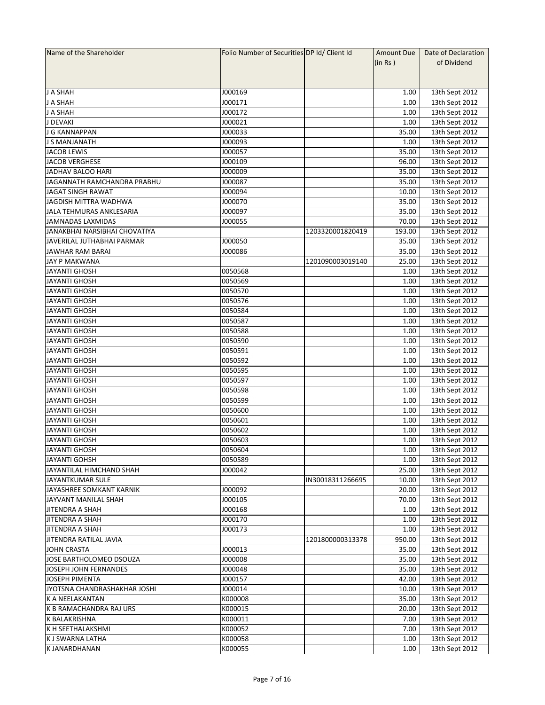| Name of the Shareholder       | Folio Number of Securities DP Id/ Client Id |                  | Amount Due | Date of Declaration |
|-------------------------------|---------------------------------------------|------------------|------------|---------------------|
|                               |                                             |                  | (in Rs)    | of Dividend         |
|                               |                                             |                  |            |                     |
|                               |                                             |                  |            |                     |
| J A SHAH                      | J000169                                     |                  | 1.00       | 13th Sept 2012      |
| J A SHAH                      | J000171                                     |                  | 1.00       | 13th Sept 2012      |
| <b>J A SHAH</b>               | J000172                                     |                  | 1.00       | 13th Sept 2012      |
| J DEVAKI                      | J000021                                     |                  | 1.00       | 13th Sept 2012      |
| J G KANNAPPAN                 | J000033                                     |                  | 35.00      | 13th Sept 2012      |
| J S MANJANATH                 | J000093                                     |                  | 1.00       | 13th Sept 2012      |
| <b>JACOB LEWIS</b>            | J000057                                     |                  | 35.00      | 13th Sept 2012      |
| <b>JACOB VERGHESE</b>         | J000109                                     |                  | 96.00      | 13th Sept 2012      |
| JADHAV BALOO HARI             | J000009                                     |                  | 35.00      | 13th Sept 2012      |
| JAGANNATH RAMCHANDRA PRABHU   | J000087                                     |                  | 35.00      | 13th Sept 2012      |
| <b>JAGAT SINGH RAWAT</b>      | J000094                                     |                  | 10.00      | 13th Sept 2012      |
| JAGDISH MITTRA WADHWA         | J000070                                     |                  | 35.00      |                     |
|                               | J000097                                     |                  | 35.00      | 13th Sept 2012      |
| JALA TEHMURAS ANKLESARIA      |                                             |                  |            | 13th Sept 2012      |
| <b>JAMNADAS LAXMIDAS</b>      | J000055                                     |                  | 70.00      | 13th Sept 2012      |
| JANAKBHAI NARSIBHAI CHOVATIYA |                                             | 1203320001820419 | 193.00     | 13th Sept 2012      |
| JAVERILAL JUTHABHAI PARMAR    | J000050                                     |                  | 35.00      | 13th Sept 2012      |
| <b>JAWHAR RAM BARAI</b>       | J000086                                     |                  | 35.00      | 13th Sept 2012      |
| JAY P MAKWANA                 |                                             | 1201090003019140 | 25.00      | 13th Sept 2012      |
| <b>JAYANTI GHOSH</b>          | 0050568                                     |                  | 1.00       | 13th Sept 2012      |
| <b>JAYANTI GHOSH</b>          | 0050569                                     |                  | 1.00       | 13th Sept 2012      |
| <b>JAYANTI GHOSH</b>          | 0050570                                     |                  | 1.00       | 13th Sept 2012      |
| <b>JAYANTI GHOSH</b>          | 0050576                                     |                  | 1.00       | 13th Sept 2012      |
| <b>JAYANTI GHOSH</b>          | 0050584                                     |                  | 1.00       | 13th Sept 2012      |
| <b>JAYANTI GHOSH</b>          | 0050587                                     |                  | 1.00       | 13th Sept 2012      |
| <b>JAYANTI GHOSH</b>          | 0050588                                     |                  | 1.00       | 13th Sept 2012      |
| JAYANTI GHOSH                 | 0050590                                     |                  | 1.00       | 13th Sept 2012      |
| <b>JAYANTI GHOSH</b>          | 0050591                                     |                  | 1.00       | 13th Sept 2012      |
| <b>JAYANTI GHOSH</b>          | 0050592                                     |                  | 1.00       | 13th Sept 2012      |
| <b>JAYANTI GHOSH</b>          | 0050595                                     |                  | 1.00       | 13th Sept 2012      |
| <b>JAYANTI GHOSH</b>          | 0050597                                     |                  | 1.00       | 13th Sept 2012      |
| <b>JAYANTI GHOSH</b>          | 0050598                                     |                  | 1.00       | 13th Sept 2012      |
| <b>JAYANTI GHOSH</b>          | 0050599                                     |                  | 1.00       | 13th Sept 2012      |
| <b>JAYANTI GHOSH</b>          | 0050600                                     |                  | 1.00       | 13th Sept 2012      |
| <b>JAYANTI GHOSH</b>          | 0050601                                     |                  | 1.00       | 13th Sept 2012      |
| <b>JAYANTI GHOSH</b>          | 0050602                                     |                  | 1.00       | 13th Sept 2012      |
| <b>JAYANTI GHOSH</b>          | 0050603                                     |                  | 1.00       | 13th Sept 2012      |
| JAYANTI GHOSH                 | 0050604                                     |                  | 1.00       | 13th Sept 2012      |
| <b>JAYANTI GOHSH</b>          | 0050589                                     |                  | 1.00       | 13th Sept 2012      |
| JAYANTILAL HIMCHAND SHAH      | J000042                                     |                  | 25.00      | 13th Sept 2012      |
| JAYANTKUMAR SULE              |                                             | IN30018311266695 | 10.00      | 13th Sept 2012      |
| JAYASHREE SOMKANT KARNIK      | J000092                                     |                  | 20.00      | 13th Sept 2012      |
| JAYVANT MANILAL SHAH          | J000105                                     |                  | 70.00      | 13th Sept 2012      |
| <b>JITENDRA A SHAH</b>        | J000168                                     |                  | 1.00       | 13th Sept 2012      |
| <b>JITENDRA A SHAH</b>        | J000170                                     |                  | 1.00       | 13th Sept 2012      |
| JITENDRA A SHAH               | J000173                                     |                  | 1.00       | 13th Sept 2012      |
| JITENDRA RATILAL JAVIA        |                                             | 1201800000313378 | 950.00     | 13th Sept 2012      |
| <b>JOHN CRASTA</b>            | J000013                                     |                  | 35.00      | 13th Sept 2012      |
| JOSE BARTHOLOMEO DSOUZA       | 3000008                                     |                  | 35.00      | 13th Sept 2012      |
| JOSEPH JOHN FERNANDES         | J000048                                     |                  | 35.00      | 13th Sept 2012      |
| <b>JOSEPH PIMENTA</b>         | J000157                                     |                  | 42.00      | 13th Sept 2012      |
|                               |                                             |                  |            |                     |
| JYOTSNA CHANDRASHAKHAR JOSHI  | J000014                                     |                  | 10.00      | 13th Sept 2012      |
| K A NEELAKANTAN               | K000008                                     |                  | 35.00      | 13th Sept 2012      |
| K B RAMACHANDRA RAJ URS       | K000015                                     |                  | 20.00      | 13th Sept 2012      |
| K BALAKRISHNA                 | K000011                                     |                  | 7.00       | 13th Sept 2012      |
| K H SEETHALAKSHMI             | K000052                                     |                  | 7.00       | 13th Sept 2012      |
| K J SWARNA LATHA              | K000058                                     |                  | 1.00       | 13th Sept 2012      |
| K JANARDHANAN                 | K000055                                     |                  | 1.00       | 13th Sept 2012      |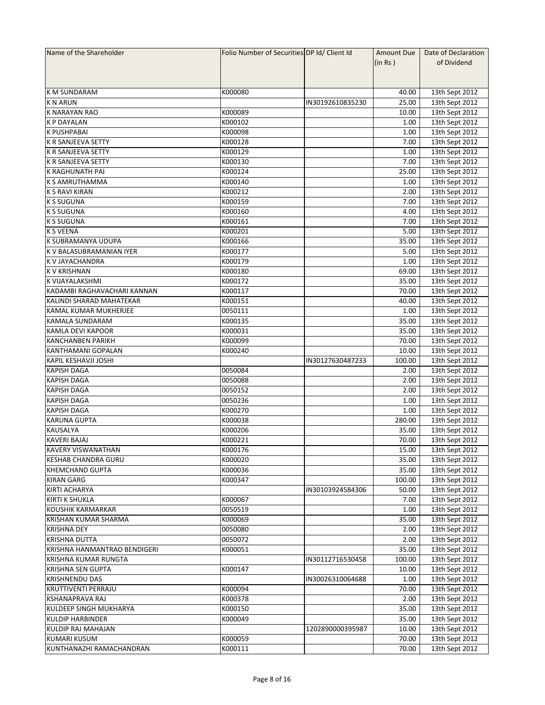| Name of the Shareholder      | Folio Number of Securities DP Id/ Client Id |                  | Amount Due | Date of Declaration |
|------------------------------|---------------------------------------------|------------------|------------|---------------------|
|                              |                                             |                  | (in Rs )   | of Dividend         |
|                              |                                             |                  |            |                     |
|                              |                                             |                  |            |                     |
| <b>K M SUNDARAM</b>          | K000080                                     |                  | 40.00      | 13th Sept 2012      |
| <b>KNARUN</b>                |                                             | IN30192610835230 | 25.00      | 13th Sept 2012      |
| <b>K NARAYAN RAO</b>         | K000089                                     |                  | 10.00      | 13th Sept 2012      |
| <b>K P DAYALAN</b>           | K000102                                     |                  | 1.00       | 13th Sept 2012      |
| <b>K PUSHPABAI</b>           | K000098                                     |                  | 1.00       | 13th Sept 2012      |
| K R SANJEEVA SETTY           | K000128                                     |                  | 7.00       | 13th Sept 2012      |
| <b>K R SANJEEVA SETTY</b>    | K000129                                     |                  | 1.00       | 13th Sept 2012      |
| K R SANJEEVA SETTY           | K000130                                     |                  | 7.00       | 13th Sept 2012      |
| K RAGHUNATH PAI              | K000124                                     |                  | 25.00      | 13th Sept 2012      |
| <b>K S AMRUTHAMMA</b>        | K000140                                     |                  | 1.00       | 13th Sept 2012      |
| K S RAVI KIRAN               | K000212                                     |                  | 2.00       | 13th Sept 2012      |
| <b>K S SUGUNA</b>            | K000159                                     |                  | 7.00       | 13th Sept 2012      |
|                              |                                             |                  |            |                     |
| <b>K S SUGUNA</b>            | K000160                                     |                  | 4.00       | 13th Sept 2012      |
| <b>K S SUGUNA</b>            | K000161                                     |                  | 7.00       | 13th Sept 2012      |
| <b>K S VEENA</b>             | K000201                                     |                  | 5.00       | 13th Sept 2012      |
| K SUBRAMANYA UDUPA           | K000166                                     |                  | 35.00      | 13th Sept 2012      |
| K V BALASUBRAMANIAN IYER     | K000177                                     |                  | 5.00       | 13th Sept 2012      |
| K V JAYACHANDRA              | K000179                                     |                  | 1.00       | 13th Sept 2012      |
| <b>K V KRISHNAN</b>          | K000180                                     |                  | 69.00      | 13th Sept 2012      |
| K VIJAYALAKSHMI              | K000172                                     |                  | 35.00      | 13th Sept 2012      |
| KADAMBI RAGHAVACHARI KANNAN  | K000117                                     |                  | 70.00      | 13th Sept 2012      |
| KALINDI SHARAD MAHATEKAR     | K000151                                     |                  | 40.00      | 13th Sept 2012      |
| KAMAL KUMAR MUKHERJEE        | 0050111                                     |                  | 1.00       | 13th Sept 2012      |
| <b>KAMALA SUNDARAM</b>       | K000135                                     |                  | 35.00      | 13th Sept 2012      |
| KAMLA DEVI KAPOOR            | K000031                                     |                  | 35.00      | 13th Sept 2012      |
| <b>KANCHANBEN PARIKH</b>     | K000099                                     |                  | 70.00      | 13th Sept 2012      |
| KANTHAMANI GOPALAN           | K000240                                     |                  | 10.00      | 13th Sept 2012      |
| KAPIL KESHAVJI JOSHI         |                                             | IN30127630487233 | 100.00     | 13th Sept 2012      |
| <b>KAPISH DAGA</b>           | 0050084                                     |                  | 2.00       | 13th Sept 2012      |
| <b>KAPISH DAGA</b>           | 0050088                                     |                  | 2.00       | 13th Sept 2012      |
| <b>KAPISH DAGA</b>           | 0050152                                     |                  | 2.00       | 13th Sept 2012      |
| <b>KAPISH DAGA</b>           | 0050236                                     |                  | 1.00       | 13th Sept 2012      |
| <b>KAPISH DAGA</b>           | K000270                                     |                  | 1.00       | 13th Sept 2012      |
| <b>KARUNA GUPTA</b>          | K000038                                     |                  | 280.00     | 13th Sept 2012      |
| KAUSALYA                     | K000206                                     |                  | 35.00      | 13th Sept 2012      |
| <b>KAVERI BAJAJ</b>          | K000221                                     |                  | 70.00      | 13th Sept 2012      |
| <b>KAVERY VISWANATHAN</b>    |                                             |                  |            |                     |
|                              | K000176                                     |                  | 15.00      | 13th Sept 2012      |
| KESHAB CHANDRA GURU          | K000020                                     |                  | 35.00      | 13th Sept 2012      |
| <b>KHEMCHAND GUPTA</b>       | K000036                                     |                  | 35.00      | 13th Sept 2012      |
| <b>KIRAN GARG</b>            | K000347                                     |                  | 100.00     | 13th Sept 2012      |
| <b>KIRTI ACHARYA</b>         |                                             | IN30103924584306 | 50.00      | 13th Sept 2012      |
| <b>KIRTI K SHUKLA</b>        | K000067                                     |                  | 7.00       | 13th Sept 2012      |
| KOUSHIK KARMARKAR            | 0050519                                     |                  | 1.00       | 13th Sept 2012      |
| KRISHAN KUMAR SHARMA         | K000069                                     |                  | 35.00      | 13th Sept 2012      |
| <b>KRISHNA DEY</b>           | 0050080                                     |                  | 2.00       | 13th Sept 2012      |
| <b>KRISHNA DUTTA</b>         | 0050072                                     |                  | 2.00       | 13th Sept 2012      |
| KRISHNA HANMANTRAO BENDIGERI | K000051                                     |                  | 35.00      | 13th Sept 2012      |
| KRISHNA KUMAR RUNGTA         |                                             | IN30112716530458 | 100.00     | 13th Sept 2012      |
| <b>KRISHNA SEN GUPTA</b>     | K000147                                     |                  | 10.00      | 13th Sept 2012      |
| <b>KRISHNENDU DAS</b>        |                                             | IN30026310064688 | 1.00       | 13th Sept 2012      |
| <b>KRUTTIVENTI PERRAJU</b>   | K000094                                     |                  | 70.00      | 13th Sept 2012      |
| KSHANAPRAVA RAJ              | K000378                                     |                  | 2.00       | 13th Sept 2012      |
| KULDEEP SINGH MUKHARYA       | K000150                                     |                  | 35.00      | 13th Sept 2012      |
| <b>KULDIP HARBINDER</b>      | K000049                                     |                  | 35.00      | 13th Sept 2012      |
| KULDIP RAJ MAHAJAN           |                                             | 1202890000395987 | 10.00      | 13th Sept 2012      |
| <b>KUMARI KUSUM</b>          | K000059                                     |                  | 70.00      | 13th Sept 2012      |
| KUNTHANAZHI RAMACHANDRAN     | K000111                                     |                  | 70.00      | 13th Sept 2012      |
|                              |                                             |                  |            |                     |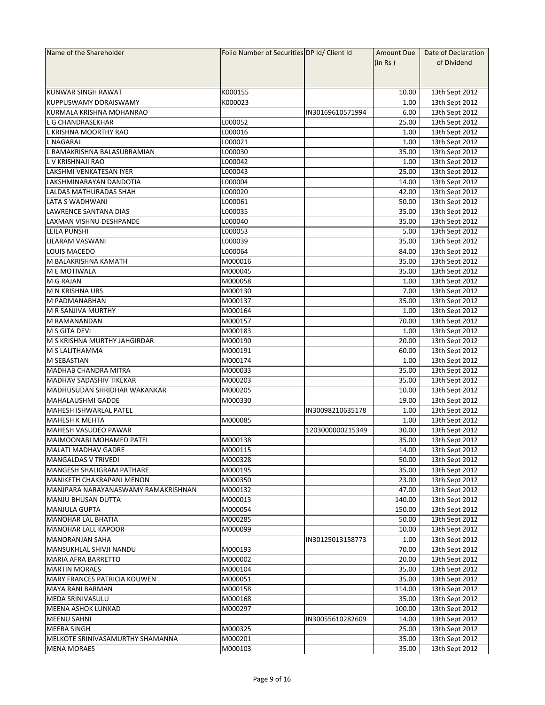| Name of the Shareholder             | Folio Number of Securities DP Id/ Client Id |                  | Amount Due | Date of Declaration |
|-------------------------------------|---------------------------------------------|------------------|------------|---------------------|
|                                     |                                             |                  | (in Rs )   | of Dividend         |
|                                     |                                             |                  |            |                     |
|                                     |                                             |                  |            |                     |
| KUNWAR SINGH RAWAT                  | K000155                                     |                  | 10.00      | 13th Sept 2012      |
| <b>KUPPUSWAMY DORAISWAMY</b>        | K000023                                     |                  | 1.00       | 13th Sept 2012      |
| KURMALA KRISHNA MOHANRAO            |                                             | IN30169610571994 | 6.00       | 13th Sept 2012      |
| L G CHANDRASEKHAR                   | L000052                                     |                  | 25.00      | 13th Sept 2012      |
| L KRISHNA MOORTHY RAO               | L000016                                     |                  | 1.00       | 13th Sept 2012      |
| <b>L NAGARAJ</b>                    | L000021                                     |                  | 1.00       | 13th Sept 2012      |
| L RAMAKRISHNA BALASUBRAMIAN         | L000030                                     |                  | 35.00      | 13th Sept 2012      |
| L V KRISHNAJI RAO                   | L000042                                     |                  | 1.00       | 13th Sept 2012      |
| LAKSHMI VENKATESAN IYER             | L000043                                     |                  | 25.00      |                     |
|                                     |                                             |                  |            | 13th Sept 2012      |
| LAKSHMINARAYAN DANDOTIA             | L000004                                     |                  | 14.00      | 13th Sept 2012      |
| LALDAS MATHURADAS SHAH              | L000020                                     |                  | 42.00      | 13th Sept 2012      |
| LATA S WADHWANI                     | L000061                                     |                  | 50.00      | 13th Sept 2012      |
| <b>LAWRENCE SANTANA DIAS</b>        | L000035                                     |                  | 35.00      | 13th Sept 2012      |
| LAXMAN VISHNU DESHPANDE             | L000040                                     |                  | 35.00      | 13th Sept 2012      |
| LEILA PUNSHI                        | L000053                                     |                  | 5.00       | 13th Sept 2012      |
| <b>LILARAM VASWANI</b>              | L000039                                     |                  | 35.00      | 13th Sept 2012      |
| LOUIS MACEDO                        | L000064                                     |                  | 84.00      | 13th Sept 2012      |
| M BALAKRISHNA KAMATH                | M000016                                     |                  | 35.00      | 13th Sept 2012      |
| M E MOTIWALA                        | M000045                                     |                  | 35.00      | 13th Sept 2012      |
| M G RAJAN                           | M000058                                     |                  | 1.00       | 13th Sept 2012      |
| M N KRISHNA URS                     | M000130                                     |                  | 7.00       | 13th Sept 2012      |
| M PADMANABHAN                       | M000137                                     |                  | 35.00      | 13th Sept 2012      |
| M R SANJIVA MURTHY                  | M000164                                     |                  | 1.00       | 13th Sept 2012      |
| M RAMANANDAN                        | M000157                                     |                  | 70.00      | 13th Sept 2012      |
| M S GITA DEVI                       | M000183                                     |                  | 1.00       | 13th Sept 2012      |
| M S KRISHNA MURTHY JAHGIRDAR        | M000190                                     |                  | 20.00      | 13th Sept 2012      |
| M S LALITHAMMA                      | M000191                                     |                  | 60.00      | 13th Sept 2012      |
| <b>M SEBASTIAN</b>                  | M000174                                     |                  | 1.00       | 13th Sept 2012      |
| <b>MADHAB CHANDRA MITRA</b>         | M000033                                     |                  | 35.00      | 13th Sept 2012      |
| MADHAV SADASHIV TIKEKAR             | M000203                                     |                  | 35.00      | 13th Sept 2012      |
| MADHUSUDAN SHRIDHAR WAKANKAR        | M000205                                     |                  | 10.00      | 13th Sept 2012      |
| <b>MAHALAUSHMI GADDE</b>            | M000330                                     |                  | 19.00      | 13th Sept 2012      |
| MAHESH ISHWARLAL PATEL              |                                             | IN30098210635178 | 1.00       | 13th Sept 2012      |
| <b>MAHESH K MEHTA</b>               | M000085                                     |                  | 1.00       | 13th Sept 2012      |
|                                     |                                             | 1203000000215349 |            |                     |
| MAHESH VASUDEO PAWAR                |                                             |                  | 30.00      | 13th Sept 2012      |
| MAIMOONABI MOHAMED PATEL            | M000138                                     |                  | 35.00      | 13th Sept 2012      |
| MALATI MADHAV GADRE                 | M000115                                     |                  | 14.00      | 13th Sept 2012      |
| MANGALDAS V TRIVEDI                 | M000328                                     |                  | 50.00      | 13th Sept 2012      |
| MANGESH SHALIGRAM PATHARE           | M000195                                     |                  | 35.00      | 13th Sept 2012      |
| <b>MANIKETH CHAKRAPANI MENON</b>    | M000350                                     |                  | 23.00      | 13th Sept 2012      |
| MANJPARA NARAYANASWAMY RAMAKRISHNAN | M000132                                     |                  | 47.00      | 13th Sept 2012      |
| MANJU BHUSAN DUTTA                  | M000013                                     |                  | 140.00     | 13th Sept 2012      |
| MANJULA GUPTA                       | M000054                                     |                  | 150.00     | 13th Sept 2012      |
| <b>MANOHAR LAL BHATIA</b>           | M000285                                     |                  | 50.00      | 13th Sept 2012      |
| MANOHAR LALL KAPOOR                 | M000099                                     |                  | 10.00      | 13th Sept 2012      |
| <b>MANORANJAN SAHA</b>              |                                             | IN30125013158773 | 1.00       | 13th Sept 2012      |
| MANSUKHLAL SHIVJI NANDU             | M000193                                     |                  | 70.00      | 13th Sept 2012      |
| <b>MARIA AFRA BARRETTO</b>          | M000002                                     |                  | 20.00      | 13th Sept 2012      |
| <b>MARTIN MORAES</b>                | M000104                                     |                  | 35.00      | 13th Sept 2012      |
| <b>MARY FRANCES PATRICIA KOUWEN</b> | M000051                                     |                  | 35.00      | 13th Sept 2012      |
| <b>MAYA RANI BARMAN</b>             | M000158                                     |                  | 114.00     | 13th Sept 2012      |
| MEDA SRINIVASULU                    | M000168                                     |                  | 35.00      | 13th Sept 2012      |
| <b>MEENA ASHOK LUNKAD</b>           | M000297                                     |                  | 100.00     | 13th Sept 2012      |
| <b>MEENU SAHNI</b>                  |                                             | IN30055610282609 | 14.00      | 13th Sept 2012      |
| <b>MEERA SINGH</b>                  | M000325                                     |                  | 25.00      | 13th Sept 2012      |
| MELKOTE SRINIVASAMURTHY SHAMANNA    | M000201                                     |                  | 35.00      | 13th Sept 2012      |
|                                     |                                             |                  |            |                     |
| <b>MENA MORAES</b>                  | M000103                                     |                  | 35.00      | 13th Sept 2012      |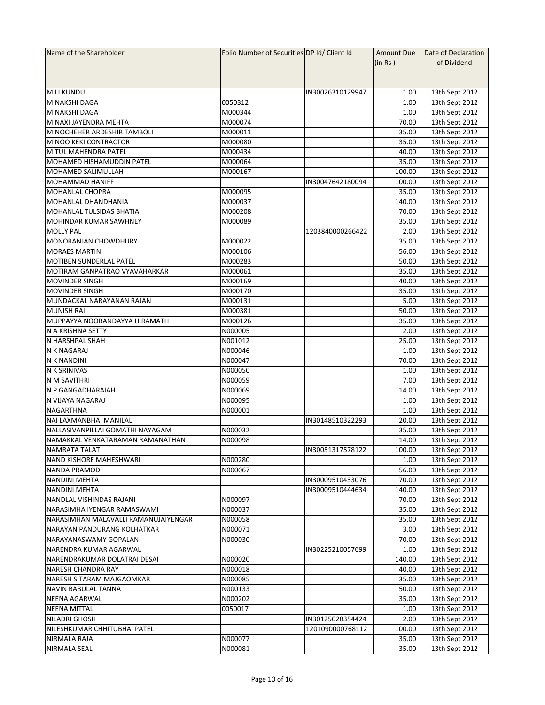| Name of the Shareholder              | Folio Number of Securities DP Id/ Client Id |                  | <b>Amount Due</b> | Date of Declaration |
|--------------------------------------|---------------------------------------------|------------------|-------------------|---------------------|
|                                      |                                             |                  | (in Rs)           | of Dividend         |
|                                      |                                             |                  |                   |                     |
|                                      |                                             |                  |                   |                     |
| <b>MILI KUNDU</b>                    |                                             | IN30026310129947 | 1.00              | 13th Sept 2012      |
| <b>MINAKSHI DAGA</b>                 | 0050312                                     |                  | 1.00              | 13th Sept 2012      |
| <b>MINAKSHI DAGA</b>                 | M000344                                     |                  | 1.00              | 13th Sept 2012      |
| MINAXI JAYENDRA MEHTA                | M000074                                     |                  | 70.00             | 13th Sept 2012      |
| MINOCHEHER ARDESHIR TAMBOLI          | M000011                                     |                  | 35.00             | 13th Sept 2012      |
| MINOO KEKI CONTRACTOR                | M000080                                     |                  | 35.00             | 13th Sept 2012      |
| MITUL MAHENDRA PATEL                 | M000434                                     |                  | 40.00             | 13th Sept 2012      |
| MOHAMED HISHAMUDDIN PATEL            | M000064                                     |                  | 35.00             | 13th Sept 2012      |
| MOHAMED SALIMULLAH                   | M000167                                     |                  | 100.00            | 13th Sept 2012      |
| <b>MOHAMMAD HANIFF</b>               |                                             | IN30047642180094 | 100.00            | 13th Sept 2012      |
| <b>MOHANLAL CHOPRA</b>               | M000095                                     |                  | 35.00             | 13th Sept 2012      |
| MOHANLAL DHANDHANIA                  | M000037                                     |                  | 140.00            |                     |
| MOHANLAL TULSIDAS BHATIA             | M000208                                     |                  | 70.00             | 13th Sept 2012      |
|                                      |                                             |                  | 35.00             | 13th Sept 2012      |
| MOHINDAR KUMAR SAWHNEY               | M000089                                     |                  |                   | 13th Sept 2012      |
| <b>MOLLY PAL</b>                     |                                             | 1203840000266422 | 2.00              | 13th Sept 2012      |
| <b>MONORANJAN CHOWDHURY</b>          | M000022                                     |                  | 35.00             | 13th Sept 2012      |
| <b>MORAES MARTIN</b>                 | M000106                                     |                  | 56.00             | 13th Sept 2012      |
| <b>MOTIBEN SUNDERLAL PATEL</b>       | M000283                                     |                  | 50.00             | 13th Sept 2012      |
| MOTIRAM GANPATRAO VYAVAHARKAR        | M000061                                     |                  | 35.00             | 13th Sept 2012      |
| <b>MOVINDER SINGH</b>                | M000169                                     |                  | 40.00             | 13th Sept 2012      |
| <b>MOVINDER SINGH</b>                | M000170                                     |                  | 35.00             | 13th Sept 2012      |
| MUNDACKAL NARAYANAN RAJAN            | M000131                                     |                  | 5.00              | 13th Sept 2012      |
| <b>MUNISH RAI</b>                    | M000381                                     |                  | 50.00             | 13th Sept 2012      |
| MUPPAYYA NOORANDAYYA HIRAMATH        | M000126                                     |                  | 35.00             | 13th Sept 2012      |
| N A KRISHNA SETTY                    | N000005                                     |                  | 2.00              | 13th Sept 2012      |
| N HARSHPAL SHAH                      | N001012                                     |                  | 25.00             | 13th Sept 2012      |
| N K NAGARAJ                          | N000046                                     |                  | 1.00              | 13th Sept 2012      |
| N K NANDINI                          | N000047                                     |                  | 70.00             | 13th Sept 2012      |
| <b>N K SRINIVAS</b>                  | N000050                                     |                  | 1.00              | 13th Sept 2012      |
| N M SAVITHRI                         | N000059                                     |                  | 7.00              | 13th Sept 2012      |
| N P GANGADHARAIAH                    | N000069                                     |                  | 14.00             | 13th Sept 2012      |
| N VIJAYA NAGARAJ                     | N000095                                     |                  | 1.00              | 13th Sept 2012      |
| <b>NAGARTHNA</b>                     | N000001                                     |                  | 1.00              | 13th Sept 2012      |
| NAI LAXMANBHAI MANILAL               |                                             | IN30148510322293 | 20.00             | 13th Sept 2012      |
| NALLASIVANPILLAI GOMATHI NAYAGAM     | N000032                                     |                  | 35.00             | 13th Sept 2012      |
| NAMAKKAL VENKATARAMAN RAMANATHAN     | N000098                                     |                  | 14.00             | 13th Sept 2012      |
| NAMRATA TALATI                       |                                             | IN30051317578122 | 100.00            | 13th Sept 2012      |
| NAND KISHORE MAHESHWARI              | N000280                                     |                  | 1.00              | 13th Sept 2012      |
| NANDA PRAMOD                         | N000067                                     |                  | 56.00             | 13th Sept 2012      |
| <b>NANDINI MEHTA</b>                 |                                             | IN30009510433076 | 70.00             | 13th Sept 2012      |
| <b>NANDINI MEHTA</b>                 |                                             | IN30009510444634 | 140.00            | 13th Sept 2012      |
| NANDLAL VISHINDAS RAJANI             | N000097                                     |                  | 70.00             | 13th Sept 2012      |
| NARASIMHA IYENGAR RAMASWAMI          | N000037                                     |                  | 35.00             | 13th Sept 2012      |
| NARASIMHAN MALAVALLI RAMANUJAIYENGAR | N000058                                     |                  |                   |                     |
|                                      |                                             |                  | 35.00             | 13th Sept 2012      |
| NARAYAN PANDURANG KOLHATKAR          | N000071                                     |                  | 3.00              | 13th Sept 2012      |
| NARAYANASWAMY GOPALAN                | N000030                                     |                  | 70.00             | 13th Sept 2012      |
| NARENDRA KUMAR AGARWAL               |                                             | IN30225210057699 | 1.00              | 13th Sept 2012      |
| NARENDRAKUMAR DOLATRAI DESAI         | N000020                                     |                  | 140.00            | 13th Sept 2012      |
| <b>NARESH CHANDRA RAY</b>            | N000018                                     |                  | 40.00             | 13th Sept 2012      |
| NARESH SITARAM MAJGAOMKAR            | N000085                                     |                  | 35.00             | 13th Sept 2012      |
| <b>NAVIN BABULAL TANNA</b>           | N000133                                     |                  | 50.00             | 13th Sept 2012      |
| <b>NEENA AGARWAL</b>                 | N000202                                     |                  | 35.00             | 13th Sept 2012      |
| <b>NEENA MITTAL</b>                  | 0050017                                     |                  | 1.00              | 13th Sept 2012      |
| NILADRI GHOSH                        |                                             | IN30125028354424 | 2.00              | 13th Sept 2012      |
| NILESHKUMAR CHHITUBHAI PATEL         |                                             | 1201090000768112 | 100.00            | 13th Sept 2012      |
| NIRMALA RAJA                         | N000077                                     |                  | 35.00             | 13th Sept 2012      |
| <b>NIRMALA SEAL</b>                  | N000081                                     |                  | 35.00             | 13th Sept 2012      |
|                                      |                                             |                  |                   |                     |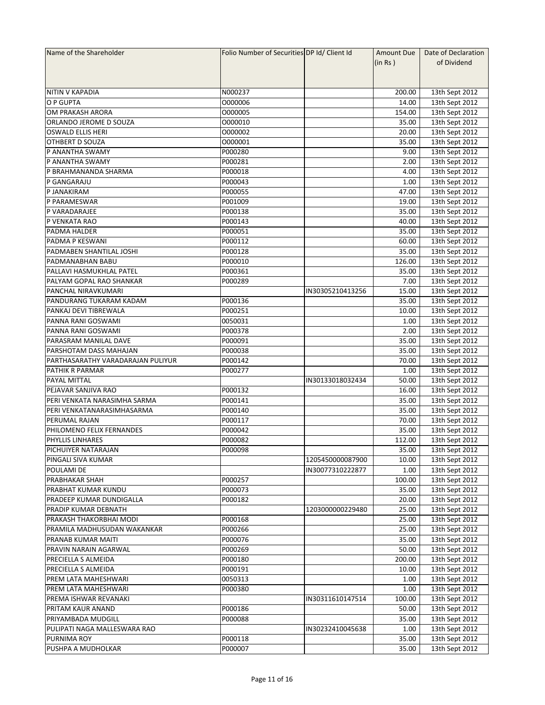| Name of the Shareholder           | Folio Number of Securities DP Id/ Client Id |                  | Amount Due | Date of Declaration |
|-----------------------------------|---------------------------------------------|------------------|------------|---------------------|
|                                   |                                             |                  | (in Rs)    | of Dividend         |
|                                   |                                             |                  |            |                     |
|                                   |                                             |                  |            |                     |
| INITIN V KAPADIA                  | N000237                                     |                  | 200.00     | 13th Sept 2012      |
| O P GUPTA                         | 0000006                                     |                  | 14.00      | 13th Sept 2012      |
| OM PRAKASH ARORA                  | 0000005                                     |                  | 154.00     | 13th Sept 2012      |
| ORLANDO JEROME D SOUZA            | 0000010                                     |                  | 35.00      | 13th Sept 2012      |
| <b>OSWALD ELLIS HERI</b>          | 0000002                                     |                  | 20.00      | 13th Sept 2012      |
| <b>OTHBERT D SOUZA</b>            | 0000001                                     |                  | 35.00      | 13th Sept 2012      |
| P ANANTHA SWAMY                   | P000280                                     |                  | 9.00       | 13th Sept 2012      |
| P ANANTHA SWAMY                   | P000281                                     |                  | 2.00       | 13th Sept 2012      |
| P BRAHMANANDA SHARMA              | P000018                                     |                  | 4.00       | 13th Sept 2012      |
| P GANGARAJU                       | P000043                                     |                  | 1.00       |                     |
|                                   |                                             |                  | 47.00      | 13th Sept 2012      |
| P JANAKIRAM                       | P000055                                     |                  |            | 13th Sept 2012      |
| P PARAMESWAR                      | P001009                                     |                  | 19.00      | 13th Sept 2012      |
| P VARADARAJEE                     | P000138                                     |                  | 35.00      | 13th Sept 2012      |
| P VENKATA RAO                     | P000143                                     |                  | 40.00      | 13th Sept 2012      |
| PADMA HALDER                      | P000051                                     |                  | 35.00      | 13th Sept 2012      |
| <b>PADMA P KESWANI</b>            | P000112                                     |                  | 60.00      | 13th Sept 2012      |
| PADMABEN SHANTILAL JOSHI          | P000128                                     |                  | 35.00      | 13th Sept 2012      |
| PADMANABHAN BABU                  | P000010                                     |                  | 126.00     | 13th Sept 2012      |
| PALLAVI HASMUKHLAL PATEL          | P000361                                     |                  | 35.00      | 13th Sept 2012      |
| PALYAM GOPAL RAO SHANKAR          | P000289                                     |                  | 7.00       | 13th Sept 2012      |
| PANCHAL NIRAVKUMARI               |                                             | IN30305210413256 | 15.00      | 13th Sept 2012      |
| PANDURANG TUKARAM KADAM           | P000136                                     |                  | 35.00      | 13th Sept 2012      |
| PANKAJ DEVI TIBREWALA             | P000251                                     |                  | 10.00      | 13th Sept 2012      |
| PANNA RANI GOSWAMI                | 0050031                                     |                  | 1.00       | 13th Sept 2012      |
| PANNA RANI GOSWAMI                | P000378                                     |                  | 2.00       | 13th Sept 2012      |
| PARASRAM MANILAL DAVE             | P000091                                     |                  | 35.00      | 13th Sept 2012      |
| PARSHOTAM DASS MAHAJAN            | P000038                                     |                  | 35.00      | 13th Sept 2012      |
| PARTHASARATHY VARADARAJAN PULIYUR | P000142                                     |                  | 70.00      | 13th Sept 2012      |
| PATHIK R PARMAR                   | P000277                                     |                  | 1.00       | 13th Sept 2012      |
| PAYAL MITTAL                      |                                             | IN30133018032434 | 50.00      | 13th Sept 2012      |
| PEJAVAR SANJIVA RAO               | P000132                                     |                  | 16.00      | 13th Sept 2012      |
| PERI VENKATA NARASIMHA SARMA      | P000141                                     |                  | 35.00      | 13th Sept 2012      |
| PERI VENKATANARASIMHASARMA        | P000140                                     |                  | 35.00      | 13th Sept 2012      |
| PERUMAL RAJAN                     | P000117                                     |                  | 70.00      | 13th Sept 2012      |
|                                   |                                             |                  |            |                     |
| PHILOMENO FELIX FERNANDES         | P000042                                     |                  | 35.00      | 13th Sept 2012      |
| <b>PHYLLIS LINHARES</b>           | P000082                                     |                  | 112.00     | 13th Sept 2012      |
| PICHUIYER NATARAJAN               | P000098                                     |                  | 35.00      | 13th Sept 2012      |
| PINGALI SIVA KUMAR                |                                             | 1205450000087900 | 10.00      | 13th Sept 2012      |
| POULAMI DE                        |                                             | IN30077310222877 | 1.00       | 13th Sept 2012      |
| PRABHAKAR SHAH                    | P000257                                     |                  | 100.00     | 13th Sept 2012      |
| PRABHAT KUMAR KUNDU               | P000073                                     |                  | 35.00      | 13th Sept 2012      |
| PRADEEP KUMAR DUNDIGALLA          | P000182                                     |                  | 20.00      | 13th Sept 2012      |
| PRADIP KUMAR DEBNATH              |                                             | 1203000000229480 | 25.00      | 13th Sept 2012      |
| PRAKASH THAKORBHAI MODI           | P000168                                     |                  | 25.00      | 13th Sept 2012      |
| PRAMILA MADHUSUDAN WAKANKAR       | P000266                                     |                  | 25.00      | 13th Sept 2012      |
| PRANAB KUMAR MAITI                | P000076                                     |                  | 35.00      | 13th Sept 2012      |
| PRAVIN NARAIN AGARWAL             | P000269                                     |                  | 50.00      | 13th Sept 2012      |
| PRECIELLA S ALMEIDA               | P000180                                     |                  | 200.00     | 13th Sept 2012      |
| PRECIELLA S ALMEIDA               | P000191                                     |                  | 10.00      | 13th Sept 2012      |
| PREM LATA MAHESHWARI              | 0050313                                     |                  | 1.00       | 13th Sept 2012      |
| PREM LATA MAHESHWARI              | P000380                                     |                  | 1.00       | 13th Sept 2012      |
| PREMA ISHWAR REVANAKI             |                                             | IN30311610147514 | 100.00     | 13th Sept 2012      |
| PRITAM KAUR ANAND                 | P000186                                     |                  | 50.00      | 13th Sept 2012      |
| PRIYAMBADA MUDGILL                | P000088                                     |                  | 35.00      | 13th Sept 2012      |
|                                   |                                             |                  |            |                     |
| PULIPATI NAGA MALLESWARA RAO      |                                             | IN30232410045638 | 1.00       | 13th Sept 2012      |
| PURNIMA ROY                       | P000118                                     |                  | 35.00      | 13th Sept 2012      |
| PUSHPA A MUDHOLKAR                | P000007                                     |                  | 35.00      | 13th Sept 2012      |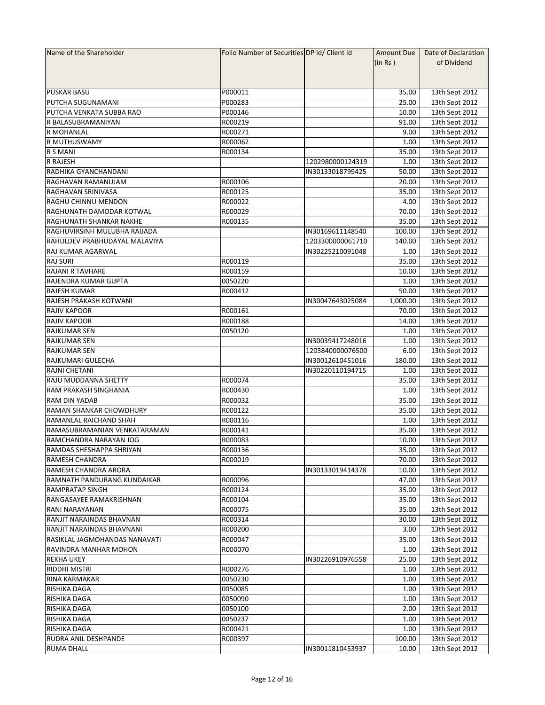| Name of the Shareholder       | Folio Number of Securities DP Id/ Client Id |                  | Amount Due | Date of Declaration |
|-------------------------------|---------------------------------------------|------------------|------------|---------------------|
|                               |                                             |                  | (in Rs )   | of Dividend         |
|                               |                                             |                  |            |                     |
|                               |                                             |                  |            |                     |
| <b>PUSKAR BASU</b>            | P000011                                     |                  | 35.00      | 13th Sept 2012      |
| PUTCHA SUGUNAMANI             | P000283                                     |                  | 25.00      | 13th Sept 2012      |
| PUTCHA VENKATA SUBBA RAO      | P000146                                     |                  | 10.00      | 13th Sept 2012      |
| R BALASUBRAMANIYAN            | R000219                                     |                  | 91.00      | 13th Sept 2012      |
| R MOHANLAL                    | R000271                                     |                  | 9.00       | 13th Sept 2012      |
| <b>R MUTHUSWAMY</b>           | R000062                                     |                  | 1.00       | 13th Sept 2012      |
| <b>R S MANI</b>               | R000134                                     |                  | 35.00      | 13th Sept 2012      |
| <b>R RAJESH</b>               |                                             | 1202980000124319 | 1.00       | 13th Sept 2012      |
| RADHIKA GYANCHANDANI          |                                             | IN30133018799425 | 50.00      | 13th Sept 2012      |
| RAGHAVAN RAMANUJAM            | R000106                                     |                  | 20.00      | 13th Sept 2012      |
| RAGHAVAN SRINIVASA            | R000125                                     |                  | 35.00      | 13th Sept 2012      |
| RAGHU CHINNU MENDON           | R000022                                     |                  | 4.00       | 13th Sept 2012      |
| RAGHUNATH DAMODAR KOTWAL      | R000029                                     |                  | 70.00      | 13th Sept 2012      |
| RAGHUNATH SHANKAR NAKHE       | R000135                                     |                  | 35.00      |                     |
|                               |                                             |                  |            | 13th Sept 2012      |
| RAGHUVIRSINH MULUBHA RAIJADA  |                                             | IN30169611148540 | 100.00     | 13th Sept 2012      |
| RAHULDEV PRABHUDAYAL MALAVIYA |                                             | 1203300000061710 | 140.00     | 13th Sept 2012      |
| RAJ KUMAR AGARWAL             |                                             | IN30225210091048 | 1.00       | 13th Sept 2012      |
| <b>RAJ SURI</b>               | R000119                                     |                  | 35.00      | 13th Sept 2012      |
| <b>RAJANI R TAVHARE</b>       | R000159                                     |                  | 10.00      | 13th Sept 2012      |
| RAJENDRA KUMAR GUPTA          | 0050220                                     |                  | 1.00       | 13th Sept 2012      |
| <b>RAJESH KUMAR</b>           | R000412                                     |                  | 50.00      | 13th Sept 2012      |
| RAJESH PRAKASH KOTWANI        |                                             | IN30047643025084 | 1,000.00   | 13th Sept 2012      |
| <b>RAJIV KAPOOR</b>           | R000161                                     |                  | 70.00      | 13th Sept 2012      |
| <b>RAJIV KAPOOR</b>           | R000188                                     |                  | 14.00      | 13th Sept 2012      |
| <b>RAJKUMAR SEN</b>           | 0050120                                     |                  | 1.00       | 13th Sept 2012      |
| <b>RAJKUMAR SEN</b>           |                                             | IN30039417248016 | 1.00       | 13th Sept 2012      |
| <b>RAJKUMAR SEN</b>           |                                             | 1203840000076500 | 6.00       | 13th Sept 2012      |
| RAJKUMARI GULECHA             |                                             | IN30012610451016 | 180.00     | 13th Sept 2012      |
| <b>RAJNI CHETANI</b>          |                                             | IN30220110194715 | 1.00       | 13th Sept 2012      |
| RAJU MUDDANNA SHETTY          | R000074                                     |                  | 35.00      | 13th Sept 2012      |
| RAM PRAKASH SINGHANIA         | R000430                                     |                  | 1.00       | 13th Sept 2012      |
| RAM DIN YADAB                 | R000032                                     |                  | 35.00      | 13th Sept 2012      |
| RAMAN SHANKAR CHOWDHURY       | R000122                                     |                  | 35.00      | 13th Sept 2012      |
| RAMANLAL RAICHAND SHAH        | R000116                                     |                  | 1.00       | 13th Sept 2012      |
| RAMASUBRAMANIAN VENKATARAMAN  | R000141                                     |                  | 35.00      | 13th Sept 2012      |
| RAMCHANDRA NARAYAN JOG        | R000083                                     |                  | 10.00      | 13th Sept 2012      |
| RAMDAS SHESHAPPA SHRIYAN      | R000136                                     |                  | 35.00      | 13th Sept 2012      |
| <b>RAMESH CHANDRA</b>         | R000019                                     |                  | 70.00      | 13th Sept 2012      |
| RAMESH CHANDRA ARORA          |                                             | IN30133019414378 | 10.00      | 13th Sept 2012      |
| RAMNATH PANDURANG KUNDAIKAR   | R000096                                     |                  | 47.00      | 13th Sept 2012      |
| <b>RAMPRATAP SINGH</b>        | R000124                                     |                  | 35.00      | 13th Sept 2012      |
| RANGASAYEE RAMAKRISHNAN       | R000104                                     |                  | 35.00      | 13th Sept 2012      |
| RANI NARAYANAN                | R000075                                     |                  | 35.00      | 13th Sept 2012      |
| RANJIT NARAINDAS BHAVNAN      | R000314                                     |                  | 30.00      | 13th Sept 2012      |
| RANJIT NARAINDAS BHAVNANI     | R000200                                     |                  | 3.00       | 13th Sept 2012      |
| RASIKLAL JAGMOHANDAS NANAVATI | R000047                                     |                  | 35.00      | 13th Sept 2012      |
| RAVINDRA MANHAR MOHON         | R000070                                     |                  | 1.00       | 13th Sept 2012      |
| <b>REKHA UKEY</b>             |                                             | IN30226910976558 | 25.00      | 13th Sept 2012      |
| <b>RIDDHI MISTRI</b>          | R000276                                     |                  | 1.00       | 13th Sept 2012      |
| <b>RINA KARMAKAR</b>          | 0050230                                     |                  | 1.00       | 13th Sept 2012      |
|                               |                                             |                  |            |                     |
| RISHIKA DAGA                  | 0050085                                     |                  | 1.00       | 13th Sept 2012      |
| RISHIKA DAGA                  | 0050090                                     |                  | 1.00       | 13th Sept 2012      |
| RISHIKA DAGA                  | 0050100                                     |                  | 2.00       | 13th Sept 2012      |
| RISHIKA DAGA                  | 0050237                                     |                  | 1.00       | 13th Sept 2012      |
| RISHIKA DAGA                  | R000421                                     |                  | 1.00       | 13th Sept 2012      |
| <b>RUDRA ANIL DESHPANDE</b>   | R000397                                     |                  | 100.00     | 13th Sept 2012      |
| <b>RUMA DHALL</b>             |                                             | IN30011810453937 | 10.00      | 13th Sept 2012      |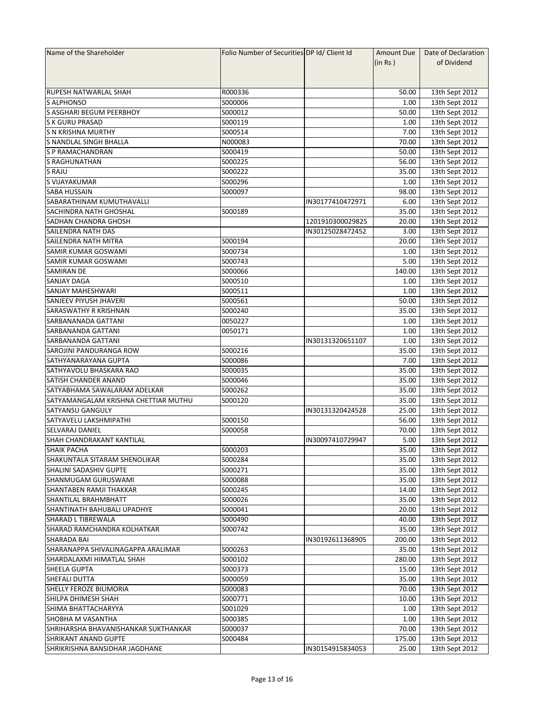| Name of the Shareholder              | Folio Number of Securities DP Id/ Client Id |                  | Amount Due | Date of Declaration              |
|--------------------------------------|---------------------------------------------|------------------|------------|----------------------------------|
|                                      |                                             |                  | (in Rs)    | of Dividend                      |
|                                      |                                             |                  |            |                                  |
|                                      |                                             |                  |            |                                  |
| <b>RUPESH NATWARLAL SHAH</b>         | R000336                                     |                  | 50.00      | 13th Sept 2012                   |
| <b>S ALPHONSO</b>                    | S000006                                     |                  | 1.00       | 13th Sept 2012                   |
| S ASGHARI BEGUM PEERBHOY             | S000012                                     |                  | 50.00      | 13th Sept 2012                   |
| <b>S K GURU PRASAD</b>               | S000119                                     |                  | 1.00       | 13th Sept 2012                   |
| <b>S N KRISHNA MURTHY</b>            | S000514                                     |                  | 7.00       | 13th Sept 2012                   |
| <b>S NANDLAL SINGH BHALLA</b>        | N000083                                     |                  | 70.00      | 13th Sept 2012                   |
| <b>S P RAMACHANDRAN</b>              | S000419                                     |                  | 50.00      | 13th Sept 2012                   |
| <b>S RAGHUNATHAN</b>                 | S000225                                     |                  | 56.00      | 13th Sept 2012                   |
| S RAJU                               | S000222                                     |                  | 35.00      | 13th Sept 2012                   |
| S VIJAYAKUMAR                        | S000296                                     |                  | 1.00       | 13th Sept 2012                   |
| <b>SABA HUSSAIN</b>                  | S000097                                     |                  | 98.00      | 13th Sept 2012                   |
| SABARATHINAM KUMUTHAVALLI            |                                             | IN30177410472971 | 6.00       | 13th Sept 2012                   |
| <b>SACHINDRA NATH GHOSHAL</b>        | S000189                                     |                  | 35.00      | 13th Sept 2012                   |
| <b>SADHAN CHANDRA GHOSH</b>          |                                             | 1201910300029825 | 20.00      | 13th Sept 2012                   |
| <b>SAILENDRA NATH DAS</b>            |                                             | IN30125028472452 | 3.00       | 13th Sept 2012                   |
| SAILENDRA NATH MITRA                 | S000194                                     |                  | 20.00      | 13th Sept 2012                   |
| SAMIR KUMAR GOSWAMI                  | S000734                                     |                  | 1.00       | 13th Sept 2012                   |
| SAMIR KUMAR GOSWAMI                  | S000743                                     |                  | 5.00       | 13th Sept 2012                   |
| SAMIRAN DE                           |                                             |                  |            |                                  |
| <b>SANJAY DAGA</b>                   | S000066<br>S000510                          |                  | 140.00     | 13th Sept 2012<br>13th Sept 2012 |
|                                      |                                             |                  | 1.00       |                                  |
| <b>SANJAY MAHESHWARI</b>             | S000511                                     |                  | 1.00       | 13th Sept 2012                   |
| <b>SANJEEV PIYUSH JHAVERI</b>        | S000561                                     |                  | 50.00      | 13th Sept 2012                   |
| SARASWATHY R KRISHNAN                | S000240                                     |                  | 35.00      | 13th Sept 2012                   |
| SARBANANADA GATTANI                  | 0050227                                     |                  | 1.00       | 13th Sept 2012                   |
| SARBANANDA GATTANI                   | 0050171                                     |                  | 1.00       | 13th Sept 2012                   |
| SARBANANDA GATTANI                   |                                             | IN30131320651107 | 1.00       | 13th Sept 2012                   |
| SAROJINI PANDURANGA ROW              | S000216                                     |                  | 35.00      | 13th Sept 2012                   |
| SATHYANARAYANA GUPTA                 | S000086                                     |                  | 7.00       | 13th Sept 2012                   |
| SATHYAVOLU BHASKARA RAO              | S000035                                     |                  | 35.00      | 13th Sept 2012                   |
| <b>SATISH CHANDER ANAND</b>          | S000046                                     |                  | 35.00      | 13th Sept 2012                   |
| SATYABHAMA SAWALARAM ADELKAR         | S000262                                     |                  | 35.00      | 13th Sept 2012                   |
| SATYAMANGALAM KRISHNA CHETTIAR MUTHU | S000120                                     |                  | 35.00      | 13th Sept 2012                   |
| <b>SATYANSU GANGULY</b>              |                                             | IN30131320424528 | 25.00      | 13th Sept 2012                   |
| SATYAVELU LAKSHMIPATHI               | S000150                                     |                  | 56.00      | 13th Sept 2012                   |
| <b>SELVARAJ DANIEL</b>               | S000058                                     |                  | 70.00      | 13th Sept 2012                   |
| SHAH CHANDRAKANT KANTILAL            |                                             | IN30097410729947 | 5.00       | 13th Sept 2012                   |
| <b>SHAIK PACHA</b>                   | S000203                                     |                  | 35.00      | 13th Sept 2012                   |
| SHAKUNTALA SITARAM SHENOLIKAR        | S000284                                     |                  | 35.00      | 13th Sept 2012                   |
| <b>SHALINI SADASHIV GUPTE</b>        | S000271                                     |                  | 35.00      | 13th Sept 2012                   |
| SHANMUGAM GURUSWAMI                  | S000088                                     |                  | 35.00      | 13th Sept 2012                   |
| SHANTABEN RAMJI THAKKAR              | S000245                                     |                  | 14.00      | 13th Sept 2012                   |
| <b>SHANTILAL BRAHMBHATT</b>          | S000026                                     |                  | 35.00      | 13th Sept 2012                   |
| SHANTINATH BAHUBALI UPADHYE          | S000041                                     |                  | 20.00      | 13th Sept 2012                   |
| SHARAD L TIBREWALA                   | S000490                                     |                  | 40.00      | 13th Sept 2012                   |
| SHARAD RAMCHANDRA KOLHATKAR          | S000742                                     |                  | 35.00      | 13th Sept 2012                   |
| <b>SHARADA BAI</b>                   |                                             | IN30192611368905 | 200.00     | 13th Sept 2012                   |
| SHARANAPPA SHIVALINAGAPPA ARALIMAR   | S000263                                     |                  | 35.00      | 13th Sept 2012                   |
| SHARDALAXMI HIMATLAL SHAH            | S000102                                     |                  | 280.00     | 13th Sept 2012                   |
| <b>SHEELA GUPTA</b>                  | S000373                                     |                  | 15.00      | 13th Sept 2012                   |
| <b>SHEFALI DUTTA</b>                 | S000059                                     |                  | 35.00      | 13th Sept 2012                   |
| SHELLY FEROZE BILIMORIA              | S000083                                     |                  | 70.00      | 13th Sept 2012                   |
| SHILPA DHIMESH SHAH                  | S000771                                     |                  | 10.00      | 13th Sept 2012                   |
| SHIMA BHATTACHARYYA                  | S001029                                     |                  | 1.00       | 13th Sept 2012                   |
|                                      |                                             |                  |            |                                  |
| SHOBHA M VASANTHA                    | S000385                                     |                  | 1.00       | 13th Sept 2012                   |
| SHRIHARSHA BHAVANISHANKAR SUKTHANKAR | S000037                                     |                  | 70.00      | 13th Sept 2012                   |
| <b>SHRIKANT ANAND GUPTE</b>          | S000484                                     |                  | 175.00     | 13th Sept 2012                   |
| SHRIKRISHNA BANSIDHAR JAGDHANE       |                                             | IN30154915834053 | 25.00      | 13th Sept 2012                   |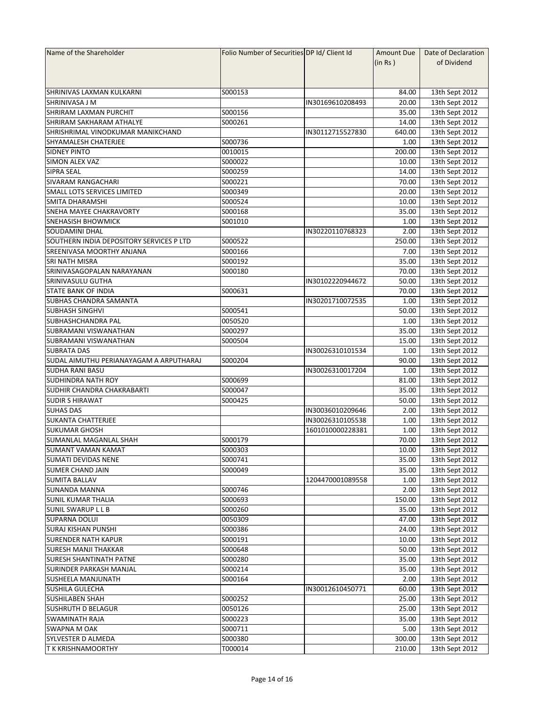| Name of the Shareholder                  | Folio Number of Securities DP Id/ Client Id |                  | <b>Amount Due</b> | Date of Declaration |
|------------------------------------------|---------------------------------------------|------------------|-------------------|---------------------|
|                                          |                                             |                  | (in Rs)           | of Dividend         |
|                                          |                                             |                  |                   |                     |
|                                          |                                             |                  |                   |                     |
| SHRINIVAS LAXMAN KULKARNI                | S000153                                     |                  | 84.00             | 13th Sept 2012      |
| SHRINIVASA J M                           |                                             | IN30169610208493 | 20.00             | 13th Sept 2012      |
| <b>SHRIRAM LAXMAN PURCHIT</b>            | S000156                                     |                  | 35.00             | 13th Sept 2012      |
| SHRIRAM SAKHARAM ATHALYE                 | S000261                                     |                  | 14.00             | 13th Sept 2012      |
| SHRISHRIMAL VINODKUMAR MANIKCHAND        |                                             | IN30112715527830 | 640.00            | 13th Sept 2012      |
| <b>SHYAMALESH CHATERJEE</b>              | S000736                                     |                  | 1.00              | 13th Sept 2012      |
| <b>SIDNEY PINTO</b>                      | 0010015                                     |                  | 200.00            | 13th Sept 2012      |
| <b>SIMON ALEX VAZ</b>                    | S000022                                     |                  | 10.00             | 13th Sept 2012      |
| <b>SIPRA SEAL</b>                        | S000259                                     |                  | 14.00             |                     |
|                                          |                                             |                  |                   | 13th Sept 2012      |
| SIVARAM RANGACHARI                       | S000221                                     |                  | 70.00             | 13th Sept 2012      |
| SMALL LOTS SERVICES LIMITED              | S000349                                     |                  | 20.00             | 13th Sept 2012      |
| SMITA DHARAMSHI                          | S000524                                     |                  | 10.00             | 13th Sept 2012      |
| SNEHA MAYEE CHAKRAVORTY                  | S000168                                     |                  | 35.00             | 13th Sept 2012      |
| <b>SNEHASISH BHOWMICK</b>                | S001010                                     |                  | 1.00              | 13th Sept 2012      |
| <b>SOUDAMINI DHAL</b>                    |                                             | IN30220110768323 | 2.00              | 13th Sept 2012      |
| SOUTHERN INDIA DEPOSITORY SERVICES P LTD | S000522                                     |                  | 250.00            | 13th Sept 2012      |
| <b>SREENIVASA MOORTHY ANJANA</b>         | S000166                                     |                  | 7.00              | 13th Sept 2012      |
| SRI NATH MISRA                           | S000192                                     |                  | 35.00             | 13th Sept 2012      |
| SRINIVASAGOPALAN NARAYANAN               | S000180                                     |                  | 70.00             | 13th Sept 2012      |
| SRINIVASULU GUTHA                        |                                             | IN30102220944672 | 50.00             | 13th Sept 2012      |
| <b>STATE BANK OF INDIA</b>               | S000631                                     |                  | 70.00             | 13th Sept 2012      |
| SUBHAS CHANDRA SAMANTA                   |                                             | IN30201710072535 | 1.00              | 13th Sept 2012      |
| <b>SUBHASH SINGHVI</b>                   | S000541                                     |                  | 50.00             | 13th Sept 2012      |
| SUBHASHCHANDRA PAL                       | 0050520                                     |                  | 1.00              | 13th Sept 2012      |
| SUBRAMANI VISWANATHAN                    | S000297                                     |                  | 35.00             | 13th Sept 2012      |
| SUBRAMANI VISWANATHAN                    | S000504                                     |                  | 15.00             | 13th Sept 2012      |
| <b>SUBRATA DAS</b>                       |                                             | IN30026310101534 | 1.00              | 13th Sept 2012      |
| SUDAL AIMUTHU PERIANAYAGAM A ARPUTHARAJ  | S000204                                     |                  | 90.00             | 13th Sept 2012      |
| <b>SUDHA RANI BASU</b>                   |                                             | IN30026310017204 | 1.00              | 13th Sept 2012      |
| <b>SUDHINDRA NATH ROY</b>                | S000699                                     |                  | 81.00             | 13th Sept 2012      |
| SUDHIR CHANDRA CHAKRABARTI               | S000047                                     |                  | 35.00             |                     |
|                                          |                                             |                  |                   | 13th Sept 2012      |
| <b>SUDIR S HIRAWAT</b>                   | S000425                                     |                  | 50.00             | 13th Sept 2012      |
| <b>SUHAS DAS</b>                         |                                             | IN30036010209646 | 2.00              | 13th Sept 2012      |
| <b>SUKANTA CHATTERJEE</b>                |                                             | IN30026310105538 | 1.00              | 13th Sept 2012      |
| <b>SUKUMAR GHOSH</b>                     |                                             | 1601010000228381 | 1.00              | 13th Sept 2012      |
| SUMANLAL MAGANLAL SHAH                   | S000179                                     |                  | 70.00             | 13th Sept 2012      |
| <b>SUMANT VAMAN KAMAT</b>                | S000303                                     |                  | 10.00             | 13th Sept 2012      |
| SUMATI DEVIDAS NENE                      | S000741                                     |                  | 35.00             | 13th Sept 2012      |
| <b>SUMER CHAND JAIN</b>                  | S000049                                     |                  | 35.00             | 13th Sept 2012      |
| <b>SUMITA BALLAV</b>                     |                                             | 1204470001089558 | 1.00              | 13th Sept 2012      |
| <b>SUNANDA MANNA</b>                     | S000746                                     |                  | 2.00              | 13th Sept 2012      |
| <b>SUNIL KUMAR THALIA</b>                | S000693                                     |                  | 150.00            | 13th Sept 2012      |
| <b>SUNIL SWARUP L L B</b>                | S000260                                     |                  | 35.00             | 13th Sept 2012      |
| <b>SUPARNA DOLUI</b>                     | 0050309                                     |                  | 47.00             | 13th Sept 2012      |
| <b>SURAJ KISHAN PUNSHI</b>               | S000386                                     |                  | 24.00             | 13th Sept 2012      |
| <b>SURENDER NATH KAPUR</b>               | S000191                                     |                  | 10.00             | 13th Sept 2012      |
| <b>SURESH MANJI THAKKAR</b>              | S000648                                     |                  | 50.00             | 13th Sept 2012      |
| <b>SURESH SHANTINATH PATNE</b>           | S000280                                     |                  | 35.00             | 13th Sept 2012      |
| <b>SURINDER PARKASH MANJAL</b>           | S000214                                     |                  | 35.00             | 13th Sept 2012      |
| <b>SUSHEELA MANJUNATH</b>                | S000164                                     |                  | 2.00              | 13th Sept 2012      |
| <b>SUSHILA GULECHA</b>                   |                                             | IN30012610450771 | 60.00             | 13th Sept 2012      |
|                                          |                                             |                  |                   |                     |
| <b>SUSHILABEN SHAH</b>                   | S000252                                     |                  | 25.00             | 13th Sept 2012      |
| <b>SUSHRUTH D BELAGUR</b>                | 0050126                                     |                  | 25.00             | 13th Sept 2012      |
| SWAMINATH RAJA                           | S000223                                     |                  | 35.00             | 13th Sept 2012      |
| <b>SWAPNA M OAK</b>                      | S000711                                     |                  | 5.00              | 13th Sept 2012      |
| <b>SYLVESTER D ALMEDA</b>                | S000380                                     |                  | 300.00            | 13th Sept 2012      |
| <b>T K KRISHNAMOORTHY</b>                | T000014                                     |                  | 210.00            | 13th Sept 2012      |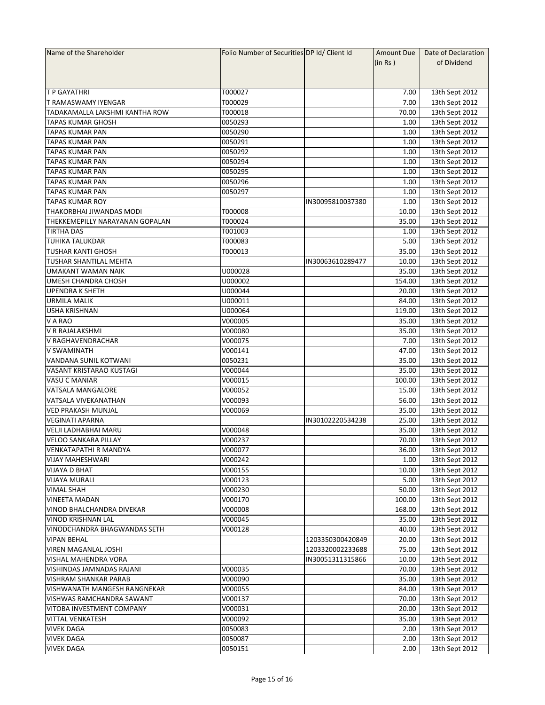| Name of the Shareholder         | Folio Number of Securities DP Id/ Client Id |                  | Amount Due | Date of Declaration |
|---------------------------------|---------------------------------------------|------------------|------------|---------------------|
|                                 |                                             |                  | (in Rs)    | of Dividend         |
|                                 |                                             |                  |            |                     |
|                                 |                                             |                  |            |                     |
| <b>T P GAYATHRI</b>             | T000027                                     |                  | 7.00       | 13th Sept 2012      |
| T RAMASWAMY IYENGAR             | T000029                                     |                  | 7.00       | 13th Sept 2012      |
| TADAKAMALLA LAKSHMI KANTHA ROW  | T000018                                     |                  | 70.00      | 13th Sept 2012      |
| <b>TAPAS KUMAR GHOSH</b>        | 0050293                                     |                  | 1.00       | 13th Sept 2012      |
| <b>TAPAS KUMAR PAN</b>          | 0050290                                     |                  | 1.00       | 13th Sept 2012      |
| <b>TAPAS KUMAR PAN</b>          | 0050291                                     |                  | 1.00       | 13th Sept 2012      |
| <b>TAPAS KUMAR PAN</b>          | 0050292                                     |                  | 1.00       | 13th Sept 2012      |
| <b>TAPAS KUMAR PAN</b>          | 0050294                                     |                  | 1.00       | 13th Sept 2012      |
|                                 | 0050295                                     |                  | 1.00       |                     |
| TAPAS KUMAR PAN                 |                                             |                  |            | 13th Sept 2012      |
| TAPAS KUMAR PAN                 | 0050296                                     |                  | 1.00       | 13th Sept 2012      |
| <b>TAPAS KUMAR PAN</b>          | 0050297                                     |                  | 1.00       | 13th Sept 2012      |
| <b>TAPAS KUMAR ROY</b>          |                                             | IN30095810037380 | 1.00       | 13th Sept 2012      |
| THAKORBHAI JIWANDAS MODI        | T000008                                     |                  | 10.00      | 13th Sept 2012      |
| THEKKEMEPILLY NARAYANAN GOPALAN | T000024                                     |                  | 35.00      | 13th Sept 2012      |
| <b>TIRTHA DAS</b>               | T001003                                     |                  | 1.00       | 13th Sept 2012      |
| <b>TUHIKA TALUKDAR</b>          | T000083                                     |                  | 5.00       | 13th Sept 2012      |
| <b>TUSHAR KANTI GHOSH</b>       | T000013                                     |                  | 35.00      | 13th Sept 2012      |
| TUSHAR SHANTILAL MEHTA          |                                             | IN30063610289477 | 10.00      | 13th Sept 2012      |
| <b>UMAKANT WAMAN NAIK</b>       | U000028                                     |                  | 35.00      | 13th Sept 2012      |
| <b>UMESH CHANDRA CHOSH</b>      | U000002                                     |                  | 154.00     | 13th Sept 2012      |
| <b>UPENDRA K SHETH</b>          | U000044                                     |                  | 20.00      | 13th Sept 2012      |
| <b>URMILA MALIK</b>             | U000011                                     |                  | 84.00      | 13th Sept 2012      |
| <b>USHA KRISHNAN</b>            | U000064                                     |                  | 119.00     | 13th Sept 2012      |
| V A RAO                         | V000005                                     |                  | 35.00      | 13th Sept 2012      |
| V R RAJALAKSHMI                 | V000080                                     |                  | 35.00      | 13th Sept 2012      |
| V RAGHAVENDRACHAR               | V000075                                     |                  | 7.00       | 13th Sept 2012      |
| <b>V SWAMINATH</b>              | V000141                                     |                  | 47.00      | 13th Sept 2012      |
|                                 | 0050231                                     |                  | 35.00      |                     |
| VANDANA SUNIL KOTWANI           |                                             |                  |            | 13th Sept 2012      |
| VASANT KRISTARAO KUSTAGI        | V000044                                     |                  | 35.00      | 13th Sept 2012      |
| <b>VASU C MANIAR</b>            | V000015                                     |                  | 100.00     | 13th Sept 2012      |
| VATSALA MANGALORE               | V000052                                     |                  | 15.00      | 13th Sept 2012      |
| VATSALA VIVEKANATHAN            | V000093                                     |                  | 56.00      | 13th Sept 2012      |
| VED PRAKASH MUNJAL              | V000069                                     |                  | 35.00      | 13th Sept 2012      |
| <b>VEGINATI APARNA</b>          |                                             | IN30102220534238 | 25.00      | 13th Sept 2012      |
| VELJI LADHABHAI MARU            | V000048                                     |                  | 35.00      | 13th Sept 2012      |
| <b>VELOO SANKARA PILLAY</b>     | V000237                                     |                  | 70.00      | 13th Sept 2012      |
| <b>VENKATAPATHI R MANDYA</b>    | V000077                                     |                  | 36.00      | 13th Sept 2012      |
| <b>VIJAY MAHESHWARI</b>         | V000242                                     |                  | 1.00       | 13th Sept 2012      |
| <b>VIJAYA D BHAT</b>            | V000155                                     |                  | 10.00      | 13th Sept 2012      |
| <b>VIJAYA MURALI</b>            | V000123                                     |                  | 5.00       | 13th Sept 2012      |
| <b>VIMAL SHAH</b>               | V000230                                     |                  | 50.00      | 13th Sept 2012      |
| <b>VINEETA MADAN</b>            | V000170                                     |                  | 100.00     | 13th Sept 2012      |
| VINOD BHALCHANDRA DIVEKAR       | V000008                                     |                  | 168.00     | 13th Sept 2012      |
| <b>VINOD KRISHNAN LAL</b>       | V000045                                     |                  | 35.00      | 13th Sept 2012      |
| VINODCHANDRA BHAGWANDAS SETH    | V000128                                     |                  | 40.00      | 13th Sept 2012      |
| <b>VIPAN BEHAL</b>              |                                             | 1203350300420849 | 20.00      | 13th Sept 2012      |
| <b>VIREN MAGANLAL JOSHI</b>     |                                             | 1203320002233688 | 75.00      | 13th Sept 2012      |
| VISHAL MAHENDRA VORA            |                                             |                  | 10.00      | 13th Sept 2012      |
|                                 |                                             | IN30051311315866 |            |                     |
| VISHINDAS JAMNADAS RAJANI       | V000035                                     |                  | 70.00      | 13th Sept 2012      |
| <b>VISHRAM SHANKAR PARAB</b>    | V000090                                     |                  | 35.00      | 13th Sept 2012      |
| VISHWANATH MANGESH RANGNEKAR    | V000055                                     |                  | 84.00      | 13th Sept 2012      |
| VISHWAS RAMCHANDRA SAWANT       | V000137                                     |                  | 70.00      | 13th Sept 2012      |
| VITOBA INVESTMENT COMPANY       | V000031                                     |                  | 20.00      | 13th Sept 2012      |
| <b>VITTAL VENKATESH</b>         | V000092                                     |                  | 35.00      | 13th Sept 2012      |
| <b>VIVEK DAGA</b>               | 0050083                                     |                  | 2.00       | 13th Sept 2012      |
| <b>VIVEK DAGA</b>               | 0050087                                     |                  | 2.00       | 13th Sept 2012      |
| <b>VIVEK DAGA</b>               | 0050151                                     |                  | 2.00       | 13th Sept 2012      |